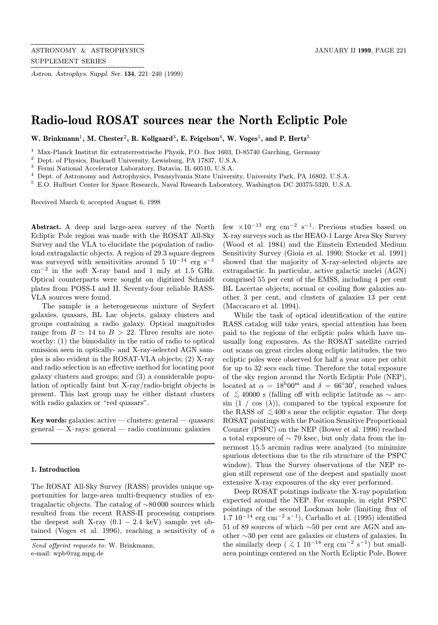Astron. Astrophys. Suppl. Ser. 134, 221–240 (1999)

# Radio-loud ROSAT sources near the North Ecliptic Pole

W. Brinkmann<sup>1</sup>, M. Chester<sup>2</sup>, R. Kollgaard<sup>3</sup>, E. Feigelson<sup>4</sup>, W. Voges<sup>1</sup>, and P. Hertz<sup>5</sup>

<sup>1</sup> Max-Planck Institut für extraterrestrische Physik, P.O. Box 1603, D-85740 Garching, Germany

<sup>2</sup> Dept. of Physics, Bucknell University, Lewisburg, PA 17837, U.S.A.

<sup>3</sup> Fermi National Accelerator Laboratory, Batavia, IL 60510, U.S.A.

<sup>4</sup> Dept. of Astronomy and Astrophysics, Pennsylvania State University, University Park, PA 16802, U.S.A.

<sup>5</sup> E.O. Hulburt Center for Space Research, Naval Research Laboratory, Washington DC 20375-5320, U.S.A.

Received March 6; accepted August 6, 1998

Abstract. A deep and large-area survey of the North Ecliptic Pole region was made with the ROSAT All-Sky Survey and the VLA to elucidate the population of radioloud extragalactic objects. A region of 29.3 square degrees was surveyed with sensitivities around 5  $10^{-14}$  erg s<sup>-1</sup> cm<sup>−</sup><sup>2</sup> in the soft X-ray band and 1 mJy at 1.5 GHz. Optical counterparts were sought on digitized Schmidt plates from POSS-I and II. Seventy-four reliable RASS-VLA sources were found.

The sample is a heterogeneous mixture of Seyfert galaxies, quasars, BL Lac objects, galaxy clusters and groups containing a radio galaxy. Optical magnitudes range from  $B \simeq 14$  to  $B > 22$ . Three results are noteworthy: (1) the bimodality in the ratio of radio to optical emission seen in optically- and X-ray-selected AGN samples is also evident in the ROSAT-VLA objects; (2) X-ray and radio selection is an effective method for locating poor galaxy clusters and groups; and (3) a considerable population of optically faint but X-ray/radio-bright objects is present. This last group may be either distant clusters with radio galaxies or "red quasars".

Key words: galaxies: active — clusters: general — quasars: general — X–rays: general — radio continuum: galaxies

# 1. Introduction

The ROSAT All-Sky Survey (RASS) provides unique opportunities for large-area multi-frequency studies of extragalactic objects. The catalog of ∼80 000 sources which resulted from the recent RASS-II processing comprises the deepest soft X-ray  $(0.1 - 2.4 \text{ keV})$  sample yet obtained (Voges et al. 1996), reaching a sensitivity of a few  $\times 10^{-13}$  erg cm<sup>-2</sup> s<sup>-1</sup>. Previous studies based on X-ray surveys such as the HEAO-1 Large Area Sky Survey (Wood et al. 1984) and the Einstein Extended Medium Sensitivity Survey (Gioia et al. 1990; Stocke et al. 1991) showed that the majority of X-ray-selected objects are extragalactic. In particular, active galactic nuclei (AGN) comprised 55 per cent of the EMSS, including 4 per cent BL Lacertae objects; normal or cooling flow galaxies another 3 per cent, and clusters of galaxies 13 per cent (Maccacaro et al. 1994).

While the task of optical identification of the entire RASS catalog will take years, special attention has been paid to the regions of the ecliptic poles which have unusually long exposures. As the ROSAT satellite carried out scans on great circles along ecliptic latitudes, the two ecliptic poles were observed for half a year once per orbit for up to 32 secs each time. Therefore the total exposure of the sky region around the North Ecliptic Pole (NEP), located at  $\alpha = 18^{\text{h}}00^{\text{m}}$  and  $\delta = 66°30'$ , reached values of  $~\lesssim 40000$  s (falling off with ecliptic latitude as  $\sim$  arcsin  $(1 / \cos (\lambda))$ , compared to the typical exposure for the RASS of  $\lesssim 400$  s near the ecliptic equator. The deep ROSAT pointings with the Position Sensitive Proportional Counter (PSPC) on the NEP (Bower et al. 1996) reached a total exposure of ∼ 79 ksec, but only data from the innermost 15.5 arcmin radius were analyzed (to minimize spurious detections due to the rib structure of the PSPC window). Thus the Survey observations of the NEP region still represent one of the deepest and spatially most extensive X-ray exposures of the sky ever performed.

Deep ROSAT pointings indicate the X-ray population expected around the NEP. For example, in eight PSPC pointings of the second Lockman hole (limiting flux of  $1.7 \, 10^{-14} \, \text{erg} \, \text{cm}^{-2} \, \text{s}^{-1}$ , Carballo et al. (1995) identified 51 of 89 sources of which ∼50 per cent are AGN and another ∼30 per cent are galaxies or clusters of galaxies. In the similarly deep ( $\geq 1$  10<sup>-14</sup> erg cm<sup>-2</sup> s<sup>-1</sup>) but smallarea pointings centered on the North Ecliptic Pole, Bower

Send offprint requests to: W. Brinkmann, e-mail: wpb@rzg.mpg.de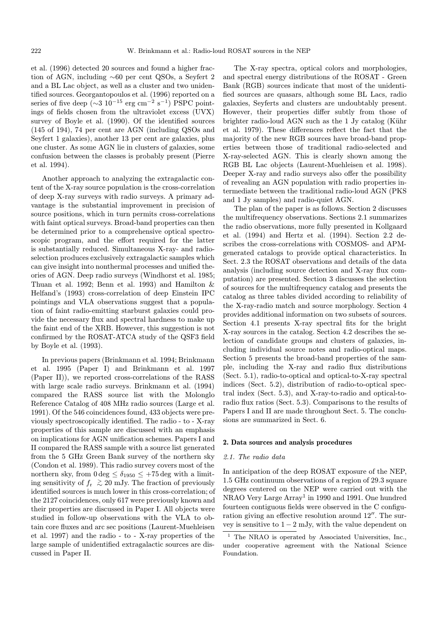et al. (1996) detected 20 sources and found a higher fraction of AGN, including ∼60 per cent QSOs, a Seyfert 2 and a BL Lac object, as well as a cluster and two unidentified sources. Georgantopoulos et al. (1996) reported on a series of five deep ( $\sim$ 3 10<sup>-15</sup> erg cm<sup>-2</sup> s<sup>-1</sup>) PSPC pointings of fields chosen from the ultraviolet excess (UVX) survey of Boyle et al. (1990). Of the identified sources (145 of 194), 74 per cent are AGN (including QSOs and Seyfert 1 galaxies), another 13 per cent are galaxies, plus one cluster. As some AGN lie in clusters of galaxies, some confusion between the classes is probably present (Pierre et al. 1994).

Another approach to analyzing the extragalactic content of the X-ray source population is the cross-correlation of deep X-ray surveys with radio surveys. A primary advantage is the substantial improvement in precision of source positions, which in turn permits cross-correlations with faint optical surveys. Broad-band properties can then be determined prior to a comprehensive optical spectroscopic program, and the effort required for the latter is substantially reduced. Simultaneous X-ray- and radioselection produces exclusively extragalactic samples which can give insight into nonthermal processes and unified theories of AGN. Deep radio surveys (Windhorst et al. 1985; Thuan et al. 1992; Benn et al. 1993) and Hamilton & Helfand's (1993) cross-correlation of deep Einstein IPC pointings and VLA observations suggest that a population of faint radio-emitting starburst galaxies could provide the necessary flux and spectral hardness to make up the faint end of the XRB. However, this suggestion is not confirmed by the ROSAT-ATCA study of the QSF3 field by Boyle et al. (1993).

In previous papers (Brinkmann et al. 1994; Brinkmann et al. 1995 (Paper I) and Brinkmann et al. 1997 (Paper II)), we reported cross-correlations of the RASS with large scale radio surveys. Brinkmann et al. (1994) compared the RASS source list with the Molonglo Reference Catalog of 408 MHz radio sources (Large et al. 1991). Of the 546 coincidences found, 433 objects were previously spectroscopically identified. The radio - to - X-ray properties of this sample are discussed with an emphasis on implications for AGN unification schemes. Papers I and II compared the RASS sample with a source list generated from the 5 GHz Green Bank survey of the northern sky (Condon et al. 1989). This radio survey covers most of the northern sky, from  $0 \text{ deg } \leq \delta_{1950} \leq +75 \text{ deg with a limit-}$ ing sensitivity of  $f_r \approx 20$  mJy. The fraction of previously identified sources is much lower in this cross-correlation; of the 2127 coincidences, only 617 were previously known and their properties are discussed in Paper I. All objects were studied in follow-up observations with the VLA to obtain core fluxes and arc sec positions (Laurent-Muehleisen et al. 1997) and the radio - to - X-ray properties of the large sample of unidentified extragalactic sources are discussed in Paper II.

The X-ray spectra, optical colors and morphologies, and spectral energy distributions of the ROSAT - Green Bank (RGB) sources indicate that most of the unidentified sources are quasars, although some BL Lacs, radio galaxies, Seyferts and clusters are undoubtably present. However, their properties differ subtly from those of brighter radio-loud AGN such as the 1 Jy catalog (Kühr et al. 1979). These differences reflect the fact that the majority of the new RGB sources have broad-band properties between those of traditional radio-selected and X-ray-selected AGN. This is clearly shown among the RGB BL Lac objects (Laurent-Muehleisen et al. 1998). Deeper X-ray and radio surveys also offer the possibility of revealing an AGN population with radio properties intermediate between the traditional radio-loud AGN (PKS and 1 Jy samples) and radio-quiet AGN.

The plan of the paper is as follows. Section 2 discusses the multifrequency observations. Sections 2.1 summarizes the radio observations, more fully presented in Kollgaard et al. (1994) and Hertz et al. (1994). Section 2.2 describes the cross-correlations with COSMOS- and APMgenerated catalogs to provide optical characteristics. In Sect. 2.3 the ROSAT observations and details of the data analysis (including source detection and X-ray flux computation) are presented. Section 3 discusses the selection of sources for the multifrequency catalog and presents the catalog as three tables divided according to reliability of the X-ray-radio match and source morphology. Section 4 provides additional information on two subsets of sources. Section 4.1 presents X-ray spectral fits for the bright X-ray sources in the catalog. Section 4.2 describes the selection of candidate groups and clusters of galaxies, including individual source notes and radio-optical maps. Section 5 presents the broad-band properties of the sample, including the X-ray and radio flux distributions (Sect. 5.1), radio-to-optical and optical-to-X-ray spectral indices (Sect. 5.2), distribution of radio-to-optical spectral index (Sect. 5.3), and X-ray-to-radio and optical-toradio flux ratios (Sect. 5.3). Comparisons to the results of Papers I and II are made throughout Sect. 5. The conclusions are summarized in Sect. 6.

#### 2. Data sources and analysis procedures

## 2.1. The radio data

In anticipation of the deep ROSAT exposure of the NEP, 1.5 GHz continuum observations of a region of 29.3 square degrees centered on the NEP were carried out with the NRAO Very Large Array<sup>1</sup> in 1990 and 1991. One hundred fourteen contiguous fields were observed in the C configuration giving an effective resolution around  $12^{\prime\prime}$ . The survey is sensitive to  $1 - 2$  mJy, with the value dependent on

<sup>&</sup>lt;sup>1</sup> The NRAO is operated by Associated Universities, Inc., under cooperative agreement with the National Science Foundation.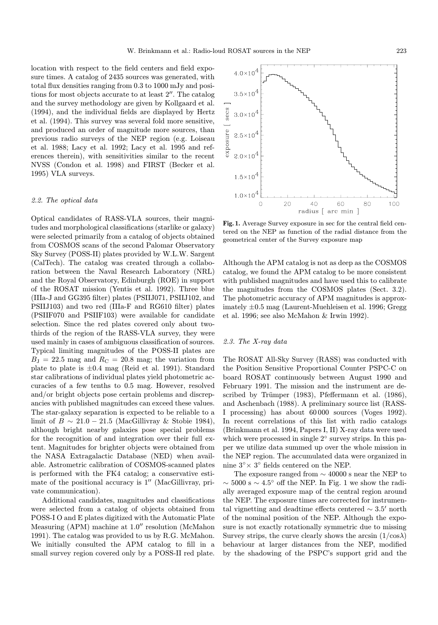location with respect to the field centers and field exposure times. A catalog of 2435 sources was generated, with total flux densities ranging from 0.3 to 1000 mJy and positions for most objects accurate to at least  $2^{\prime\prime}$ . The catalog and the survey methodology are given by Kollgaard et al. (1994), and the individual fields are displayed by Hertz et al. (1994). This survey was several fold more sensitive, and produced an order of magnitude more sources, than previous radio surveys of the NEP region (e.g. Loiseau et al. 1988; Lacy et al. 1992; Lacy et al. 1995 and references therein), with sensitivities similar to the recent NVSS (Condon et al. 1998) and FIRST (Becker et al. 1995) VLA surveys.

#### 2.2. The optical data

Optical candidates of RASS-VLA sources, their magnitudes and morphological classifications (starlike or galaxy) were selected primarily from a catalog of objects obtained from COSMOS scans of the second Palomar Observatory Sky Survey (POSS-II) plates provided by W.L.W. Sargent (CalTech). The catalog was created through a collaboration between the Naval Research Laboratory (NRL) and the Royal Observatory, Edinburgh (ROE) in support of the ROSAT mission (Yentis et al. 1992). Three blue (IIIa-J and GG395 filter) plates (PSIIJ071, PSIIJ102, and PSIIJ103) and two red (IIIa-F and RG610 filter) plates (PSIIF070 and PSIIF103) were available for candidate selection. Since the red plates covered only about twothirds of the region of the RASS-VLA survey, they were used mainly in cases of ambiguous classification of sources. Typical limiting magnitudes of the POSS-II plates are  $B<sub>J</sub> = 22.5$  mag and  $R<sub>C</sub> = 20.8$  mag; the variation from plate to plate is  $\pm 0.4$  mag (Reid et al. 1991). Standard star calibrations of individual plates yield photometric accuracies of a few tenths to 0.5 mag. However, resolved and/or bright objects pose certain problems and discrepancies with published magnitudes can exceed these values. The star-galaxy separation is expected to be reliable to a limit of  $B \sim 21.0 - 21.5$  (MacGillivray & Stobie 1984), although bright nearby galaxies pose special problems for the recognition of and integration over their full extent. Magnitudes for brighter objects were obtained from the NASA Extragalactic Database (NED) when available. Astrometric calibration of COSMOS-scanned plates is performed with the FK4 catalog; a conservative estimate of the positional accuracy is  $1''$  (MacGillivray, private communication).

Additional candidates, magnitudes and classifications were selected from a catalog of objects obtained from POSS-I O and E plates digitized with the Automatic Plate Measuring (APM) machine at  $1.0''$  resolution (McMahon 1991). The catalog was provided to us by R.G. McMahon. We initially consulted the APM catalog to fill in a small survey region covered only by a POSS-II red plate.



Fig. 1. Average Survey exposure in sec for the central field centered on the NEP as function of the radial distance from the geometrical center of the Survey exposure map

Although the APM catalog is not as deep as the COSMOS catalog, we found the APM catalog to be more consistent with published magnitudes and have used this to calibrate the magnitudes from the COSMOS plates (Sect. 3.2). The photometric accuracy of APM magnitudes is approximately ±0.5 mag (Laurent-Muehleisen et al. 1996; Gregg et al. 1996; see also McMahon & Irwin 1992).

#### 2.3. The X-ray data

The ROSAT All-Sky Survey (RASS) was conducted with the Position Sensitive Proportional Counter PSPC-C on board ROSAT continuously between August 1990 and February 1991. The mission and the instrument are described by Trümper  $(1983)$ , Pfeffermann et al.  $(1986)$ , and Aschenbach (1988). A preliminary source list (RASS-I processing) has about 60 000 sources (Voges 1992). In recent correlations of this list with radio catalogs (Brinkmann et al. 1994, Papers I, II) X-ray data were used which were processed in single 2◦ survey strips. In this paper we utilize data summed up over the whole mission in the NEP region. The accumulated data were organized in nine 3◦× 3◦ fields centered on the NEP.

The exposure ranged from ∼ 40000 s near the NEP to  $\sim$  5000 s  $\sim$  4.5° off the NEP. In Fig. 1 we show the radially averaged exposure map of the central region around the NEP. The exposure times are corrected for instrumental vignetting and deadtime effects centered  $\sim 3.5'$  north of the nominal position of the NEP. Although the exposure is not exactly rotationally symmetric due to missing Survey strips, the curve clearly shows the arcsin  $(1/\cos \lambda)$ behaviour at larger distances from the NEP, modified by the shadowing of the PSPC's support grid and the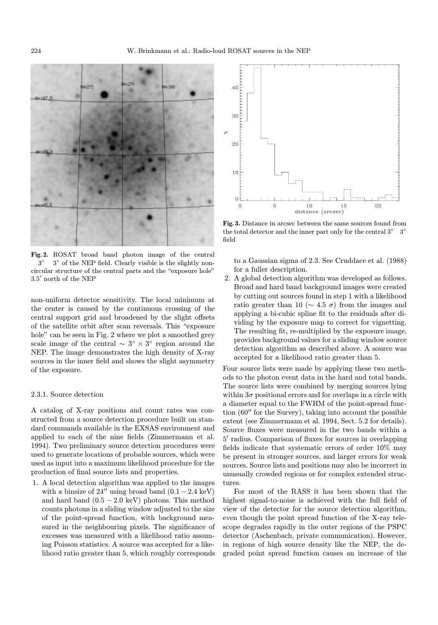

Fig. 2. ROSAT broad band photon image of the central 3◦ 3◦ of the NEP field. Clearly visible is the slightly noncircular structure of the central parts and the "exposure hole"  $3.5'$  north of the NEP

non-uniform detector sensitivity. The local minimum at the center is caused by the continuous crossing of the central support grid and broadened by the slight offsets of the satellite orbit after scan reversals. This "exposure hole" can be seen in Fig. 2 where we plot a smoothed grey scale image of the central  $\sim 3^{\circ} \times 3^{\circ}$  region around the NEP. The image demonstrates the high density of X-ray sources in the inner field and shows the slight asymmetry of the exposure.

### 2.3.1. Source detection

A catalog of X-ray positions and count rates was constructed from a source detection procedure built on standard commands available in the EXSAS environment and applied to each of the nine fields (Zimmermann et al. 1994). Two preliminary source detection procedures were used to generate locations of probable sources, which were used as input into a maximum likelihood procedure for the production of final source lists and properties.

1. A local detection algorithm was applied to the images with a binsize of 24" using broad band  $(0.1 - 2.4 \text{ keV})$ and hard band  $(0.5 - 2.0 \text{ keV})$  photons. This method counts photons in a sliding window adjusted to the size of the point-spread function, with background measured in the neighbouring pixels. The significance of excesses was measured with a likelihood ratio assuming Poisson statistics. A source was accepted for a likelihood ratio greater than 5, which roughly corresponds



Fig. 3. Distance in arcsec between the same sources found from the total detector and the inner part only for the central 3◦ 3◦ field

to a Gaussian sigma of 2.3. See Cruddace et al. (1988) for a fuller description.

2. A global detection algorithm was developed as follows. Broad and hard band background images were created by cutting out sources found in step 1 with a likelihood ratio greater than 10 ( $\sim$  4.5  $\sigma$ ) from the images and applying a bi-cubic spline fit to the residuals after dividing by the exposure map to correct for vignetting. The resulting fit, re-multiplied by the exposure image, provides background values for a sliding window source detection algorithm as described above. A source was accepted for a likelihood ratio greater than 5.

Four source lists were made by applying these two methods to the photon event data in the hard and total bands. The source lists were combined by merging sources lying within  $3\sigma$  positional errors and for overlaps in a circle with a diameter equal to the FWHM of the point-spread function  $(60<sup>′</sup>$  for the Survey), taking into account the possible extent (see Zimmermann et al. 1994, Sect. 5.2 for details). Source fluxes were measured in the two bands within a  $5'$  radius. Comparison of fluxes for sources in overlapping fields indicate that systematic errors of order 10% may be present in stronger sources, and larger errors for weak sources. Source lists and positions may also be incorrect in unusually crowded regions or for complex extended structures.

For most of the RASS it has been shown that the highest signal-to-noise is achieved with the full field of view of the detector for the source detection algorithm, even though the point spread function of the X-ray telescope degrades rapidly in the outer regions of the PSPC detector (Aschenbach, private communication). However, in regions of high source density like the NEP, the degraded point spread function causes an increase of the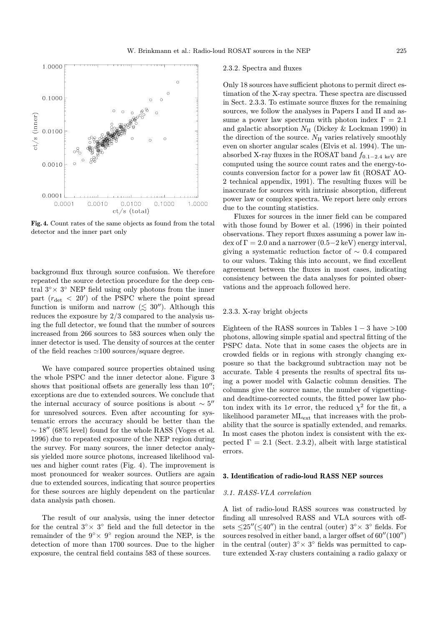

Fig. 4. Count rates of the same objects as found from the total detector and the inner part only

background flux through source confusion. We therefore repeated the source detection procedure for the deep central  $3° \times 3°$  NEP field using only photons from the inner part  $(r_{\rm det} < 20')$  of the PSPC where the point spread function is uniform and narrow ( $\lesssim 30''$ ). Although this reduces the exposure by 2/3 compared to the analysis using the full detector, we found that the number of sources increased from 266 sources to 583 sources when only the inner detector is used. The density of sources at the center of the field reaches  $\simeq$ 100 sources/square degree.

We have compared source properties obtained using the whole PSPC and the inner detector alone. Figure 3 shows that positional offsets are generally less than  $10''$ ; exceptions are due to extended sources. We conclude that the internal accuracy of source positions is about  $\sim 5$ <sup>"</sup> for unresolved sources. Even after accounting for systematic errors the accuracy should be better than the  $\sim$  18" (68% level) found for the whole RASS (Voges et al. 1996) due to repeated exposure of the NEP region during the survey. For many sources, the inner detector analysis yielded more source photons, increased likelihood values and higher count rates (Fig. 4). The improvement is most pronounced for weaker sources. Outliers are again due to extended sources, indicating that source properties for these sources are highly dependent on the particular data analysis path chosen.

The result of our analysis, using the inner detector for the central  $3° \times 3°$  field and the full detector in the remainder of the  $9° \times 9°$  region around the NEP, is the detection of more than 1700 sources. Due to the higher exposure, the central field contains 583 of these sources.

#### 2.3.2. Spectra and fluxes

Only 18 sources have sufficient photons to permit direct estimation of the X-ray spectra. These spectra are discussed in Sect. 2.3.3. To estimate source fluxes for the remaining sources, we follow the analyses in Papers I and II and assume a power law spectrum with photon index  $\Gamma = 2.1$ and galactic absorption  $N_H$  (Dickey & Lockman 1990) in the direction of the source.  $N_{\rm H}$  varies relatively smoothly even on shorter angular scales (Elvis et al. 1994). The unabsorbed X-ray fluxes in the ROSAT band  $f_{0.1-2.4 \text{ keV}}$  are computed using the source count rates and the energy-tocounts conversion factor for a power law fit (ROSAT AO-2 technical appendix, 1991). The resulting fluxes will be inaccurate for sources with intrinsic absorption, different power law or complex spectra. We report here only errors due to the counting statistics.

Fluxes for sources in the inner field can be compared with those found by Bower et al. (1996) in their pointed observations. They report fluxes assuming a power law index of  $\Gamma = 2.0$  and a narrower  $(0.5-2 \text{ keV})$  energy interval, giving a systematic reduction factor of ∼ 0.4 compared to our values. Taking this into account, we find excellent agreement between the fluxes in most cases, indicating consistency between the data analyses for pointed observations and the approach followed here.

#### 2.3.3. X-ray bright objects

Eighteen of the RASS sources in Tables  $1 - 3$  have  $>100$ photons, allowing simple spatial and spectral fitting of the PSPC data. Note that in some cases the objects are in crowded fields or in regions with strongly changing exposure so that the background subtraction may not be accurate. Table 4 presents the results of spectral fits using a power model with Galactic column densities. The columns give the source name, the number of vignettingand deadtime-corrected counts, the fitted power law photon index with its  $1\sigma$  error, the reduced  $\chi^2$  for the fit, a likelihood parameter MLext that increases with the probability that the source is spatially extended, and remarks. In most cases the photon index is consistent with the expected  $\Gamma = 2.1$  (Sect. 2.3.2), albeit with large statistical errors.

#### 3. Identification of radio-loud RASS NEP sources

# 3.1. RASS-VLA correlation

A list of radio-loud RASS sources was constructed by finding all unresolved RASS and VLA sources with offsets  $\leq$ 25"( $\leq$ 40") in the central (outer)  $3° \times 3°$  fields. For sources resolved in either band, a larger offset of  $60''(100'')$ in the central (outer)  $3° \times 3°$  fields was permitted to capture extended X-ray clusters containing a radio galaxy or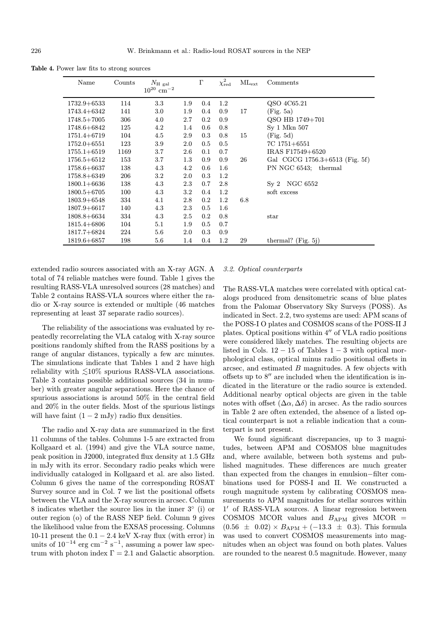Table 4. Power law fits to strong sources

| Name            | Counts | $N_{\rm H~gal}$<br>$10^{20}$ cm <sup>-2</sup> |         | $\Gamma$ | $\chi^2_\mathrm{red}$ | $\rm ML_{\rm ext}$ | Comments                           |
|-----------------|--------|-----------------------------------------------|---------|----------|-----------------------|--------------------|------------------------------------|
| $1732.9 + 6533$ | 114    | 3.3                                           | 1.9     | 0.4      | 1.2                   |                    | QSO 4C65.21                        |
| $1743.4 + 6342$ | 141    | 3.0                                           | $1.9\,$ | 0.4      | 0.9                   | 17                 | (Fig. 5a)                          |
| $1748.5 + 7005$ | 306    | 4.0                                           | 2.7     | $0.2\,$  | 0.9                   |                    | QSO HB 1749+701                    |
| 1748.6+6842     | 125    | 4.2                                           | 1.4     | 0.6      | 0.8                   |                    | Sy 1 Mkn 507                       |
| $1751.4 + 6719$ | 104    | 4.5                                           | 2.9     | 0.3      | 0.8                   | 15                 | (Fig. 5d)                          |
| $1752.0 + 6551$ | 123    | 3.9                                           | 2.0     | 0.5      | 0.5                   |                    | $7C$ 1751+6551                     |
| $1755.1 + 6519$ | 1169   | 3.7                                           | 2.6     | 0.1      | 0.7                   |                    | IRAS F17549+6520                   |
| $1756.5 + 6512$ | 153    | 3.7                                           | $1.3\,$ | 0.9      | 0.9                   | 26                 | Gal CGCG $1756.3 + 6513$ (Fig. 5f) |
| 1758.6+6637     | 138    | 4.3                                           | 4.2     | 0.6      | 1.6                   |                    | PN NGC 6543:<br>thermal            |
| $1758.8 + 6349$ | 206    | 3.2                                           | 2.0     | 0.3      | 1.2                   |                    |                                    |
| $1800.1 + 6636$ | 138    | 4.3                                           | 2.3     | 0.7      | 2.8                   |                    | Sy 2 NGC 6552                      |
| $1800.5 + 6705$ | 100    | 4.3                                           | 3.2     | 0.4      | 1.2                   |                    | soft excess                        |
| $1803.9 + 6548$ | 334    | 4.1                                           | 2.8     | $0.2\,$  | $1.2\,$               | 6.8                |                                    |
| $1807.9 + 6617$ | 140    | 4.3                                           | 2.3     | 0.5      | $1.6\,$               |                    |                                    |
| $1808.8 + 6634$ | 334    | 4.3                                           | 2.5     | $0.2\,$  | 0.8                   |                    | $_{\rm star}$                      |
| $1815.4 + 6806$ | 104    | 5.1                                           | 1.9     | 0.5      | 0.7                   |                    |                                    |
| $1817.7 + 6824$ | 224    | 5.6                                           | 2.0     | 0.3      | 0.9                   |                    |                                    |
| $1819.6 + 6857$ | 198    | $5.6\,$                                       | 1.4     | 0.4      | 1.2                   | 29                 | thermal? (Fig. 5j)                 |

extended radio sources associated with an X-ray AGN. A total of 74 reliable matches were found. Table 1 gives the resulting RASS-VLA unresolved sources (28 matches) and Table 2 contains RASS-VLA sources where either the radio or X-ray source is extended or multiple (46 matches representing at least 37 separate radio sources).

The reliability of the associations was evaluated by repeatedly recorrelating the VLA catalog with X-ray source positions randomly shifted from the RASS positions by a range of angular distances, typically a few arc minutes. The simulations indicate that Tables 1 and 2 have high reliability with  $\leq 10\%$  spurious RASS-VLA associations. Table 3 contains possible additional sources (34 in number) with greater angular separations. Here the chance of spurious associations is around 50% in the central field and 20% in the outer fields. Most of the spurious listings will have faint  $(1 - 2 \text{ mJy})$  radio flux densities.

The radio and X-ray data are summarized in the first 11 columns of the tables. Columns 1-5 are extracted from Kollgaard et al. (1994) and give the VLA source name, peak position in J2000, integrated flux density at 1.5 GHz in mJy with its error. Secondary radio peaks which were individually cataloged in Kollgaard et al. are also listed. Column 6 gives the name of the corresponding ROSAT Survey source and in Col. 7 we list the positional offsets between the VLA and the X-ray sources in arcsec. Column 8 indicates whether the source lies in the inner 3◦ (i) or outer region (o) of the RASS NEP field. Column 9 gives the likelihood value from the EXSAS processing. Columns 10-11 present the  $0.1 - 2.4$  keV X-ray flux (with error) in units of  $10^{-14}$  erg cm<sup>-2</sup> s<sup>-1</sup>, assuming a power law spectrum with photon index  $\Gamma = 2.1$  and Galactic absorption.

# 3.2. Optical counterparts

The RASS-VLA matches were correlated with optical catalogs produced from densitometric scans of blue plates from the Palomar Observatory Sky Surveys (POSS). As indicated in Sect. 2.2, two systems are used: APM scans of the POSS-I O plates and COSMOS scans of the POSS-II J plates. Optical positions within  $4''$  of VLA radio positions were considered likely matches. The resulting objects are listed in Cols.  $12 - 15$  of Tables  $1 - 3$  with optical morphological class, optical minus radio positional offsets in arcsec, and estimated B magnitudes. A few objects with offsets up to  $8''$  are included when the identification is indicated in the literature or the radio source is extended. Additional nearby optical objects are given in the table notes with offset  $(\Delta \alpha, \Delta \delta)$  in arcsec. As the radio sources in Table 2 are often extended, the absence of a listed optical counterpart is not a reliable indication that a counterpart is not present.

We found significant discrepancies, up to 3 magnitudes, between APM and COSMOS blue magnitudes and, where available, between both systems and published magnitudes. These differences are much greater than expected from the changes in emulsion−filter combinations used for POSS-I and II. We constructed a rough magnitude system by calibrating COSMOS measurements to APM magnitudes for stellar sources within 1' of RASS-VLA sources. A linear regression between COSMOS MCOR values and  $B_{APM}$  gives MCOR =  $(0.56 \pm 0.02) \times B_{\rm APM} + (-13.3 \pm 0.3)$ . This formula was used to convert COSMOS measurements into magnitudes when an object was found on both plates. Values are rounded to the nearest 0.5 magnitude. However, many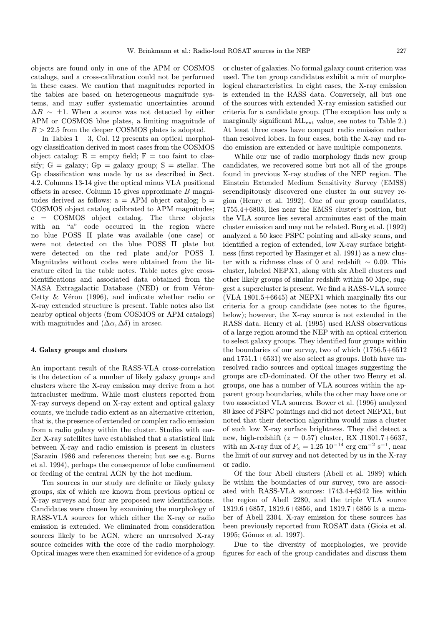objects are found only in one of the APM or COSMOS catalogs, and a cross-calibration could not be performed in these cases. We caution that magnitudes reported in the tables are based on heterogeneous magnitude systems, and may suffer systematic uncertainties around  $\Delta B \sim \pm 1$ . When a source was not detected by either APM or COSMOS blue plates, a limiting magnitude of  $B > 22.5$  from the deeper COSMOS plates is adopted.

In Tables  $1 - 3$ , Col. 12 presents an optical morphology classification derived in most cases from the COSMOS object catalog:  $E = \text{empty field}$ ;  $F = \text{too faint to clas-}$ sify;  $G =$  galaxy;  $Gp =$  galaxy group;  $S =$  stellar. The Gp classification was made by us as described in Sect. 4.2. Columns 13-14 give the optical minus VLA positional offsets in arcsec. Column 15 gives approximate B magnitudes derived as follows:  $a = APM$  object catalog;  $b =$ COSMOS object catalog calibrated to APM magnitudes; c = COSMOS object catalog. The three objects with an "a" code occurred in the region where no blue POSS II plate was available (one case) or were not detected on the blue POSS II plate but were detected on the red plate and/or POSS I. Magnitudes without codes were obtained from the literature cited in the table notes. Table notes give crossidentifications and associated data obtained from the NASA Extragalactic Database (NED) or from Véron-Cetty  $& Véron$  (1996), and indicate whether radio or X-ray extended structure is present. Table notes also list nearby optical objects (from COSMOS or APM catalogs) with magnitudes and  $(\Delta \alpha, \Delta \delta)$  in arcsec.

# 4. Galaxy groups and clusters

An important result of the RASS-VLA cross-correlation is the detection of a number of likely galaxy groups and clusters where the X-ray emission may derive from a hot intracluster medium. While most clusters reported from X-ray surveys depend on X-ray extent and optical galaxy counts, we include radio extent as an alternative criterion, that is, the presence of extended or complex radio emission from a radio galaxy within the cluster. Studies with earlier X-ray satellites have established that a statistical link between X-ray and radio emission is present in clusters (Sarazin 1986 and references therein; but see e.g. Burns et al. 1994), perhaps the consequence of lobe confinement or feeding of the central AGN by the hot medium.

Ten sources in our study are definite or likely galaxy groups, six of which are known from previous optical or X-ray surveys and four are proposed new identifications. Candidates were chosen by examining the morphology of RASS-VLA sources for which either the X-ray or radio emission is extended. We eliminated from consideration sources likely to be AGN, where an unresolved X-ray source coincides with the core of the radio morphology. Optical images were then examined for evidence of a group

or cluster of galaxies. No formal galaxy count criterion was used. The ten group candidates exhibit a mix of morphological characteristics. In eight cases, the X-ray emission is extended in the RASS data. Conversely, all but one of the sources with extended X-ray emission satisfied our criteria for a candidate group. (The exception has only a marginally significant MLext value, see notes to Table 2.) At least three cases have compact radio emission rather than resolved lobes. In four cases, both the X-ray and radio emission are extended or have multiple components.

While our use of radio morphology finds new group candidates, we recovered some but not all of the groups found in previous X-ray studies of the NEP region. The Einstein Extended Medium Sensitivity Survey (EMSS) serendipitously discovered one cluster in our survey region (Henry et al. 1992). One of our group candidates, 1755.4+6803, lies near the EMSS cluster's position, but the VLA source lies several arcminutes east of the main cluster emission and may not be related. Burg et al. (1992) analyzed a 50 ksec PSPC pointing and all-sky scans, and identified a region of extended, low X-ray surface brightness (first reported by Hasinger et al. 1991) as a new cluster with a richness class of 0 and redshift ∼ 0.09. This cluster, labeled NEPX1, along with six Abell clusters and other likely groups of similar redshift within 50 Mpc, suggest a supercluster is present. We find a RASS-VLA source (VLA 1801.5+6645) at NEPX1 which marginally fits our criteria for a group candidate (see notes to the figures, below); however, the X-ray source is not extended in the RASS data. Henry et al. (1995) used RASS observations of a large region around the NEP with an optical criterion to select galaxy groups. They identified four groups within the boundaries of our survey, two of which (1756.5+6512 and 1751.1+6531) we also select as groups. Both have unresolved radio sources and optical images suggesting the groups are cD-dominated. Of the other two Henry et al. groups, one has a number of VLA sources within the apparent group boundaries, while the other may have one or two associated VLA sources. Bower et al. (1996) analyzed 80 ksec of PSPC pointings and did not detect NEPX1, but noted that their detection algorithm would miss a cluster of such low X-ray surface brightness. They did detect a new, high-redshift ( $z = 0.57$ ) cluster, RX J1801.7+6637, with an X-ray flux of  $F_x = 1.25 \, 10^{-14} \, \text{erg} \, \text{cm}^{-2} \, \text{s}^{-1}$ , near the limit of our survey and not detected by us in the X-ray or radio.

Of the four Abell clusters (Abell et al. 1989) which lie within the boundaries of our survey, two are associated with RASS-VLA sources: 1743.4+6342 lies within the region of Abell 2280, and the triple VLA source 1819.6+6857, 1819.6+6856, and 1819.7+6856 is a member of Abell 2304. X-ray emission for these sources has been previously reported from ROSAT data (Gioia et al. 1995; Gómez et al. 1997).

Due to the diversity of morphologies, we provide figures for each of the group candidates and discuss them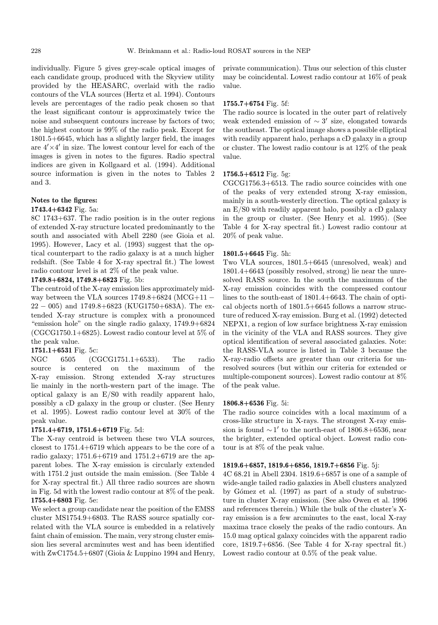individually. Figure 5 gives grey-scale optical images of each candidate group, produced with the Skyview utility provided by the HEASARC, overlaid with the radio contours of the VLA sources (Hertz et al. 1994). Contours levels are percentages of the radio peak chosen so that the least significant contour is approximately twice the noise and subsequent contours increase by factors of two; the highest contour is 99% of the radio peak. Except for 1801.5+6645, which has a slightly larger field, the images are  $4' \times 4'$  in size. The lowest contour level for each of the images is given in notes to the figures. Radio spectral indices are given in Kollgaard et al. (1994). Additional source information is given in the notes to Tables 2 and 3.

#### Notes to the figures:

#### 1743.4+6342 Fig. 5a:

8C 1743+637. The radio position is in the outer regions of extended X-ray structure located predominantly to the south and associated with Abell 2280 (see Gioia et al. 1995). However, Lacy et al. (1993) suggest that the optical counterpart to the radio galaxy is at a much higher redshift. (See Table 4 for X-ray spectral fit.) The lowest radio contour level is at 2% of the peak value.

# 1749.8+6824, 1749.8+6823 Fig. 5b:

The centroid of the X-ray emission lies approximately midway between the VLA sources  $1749.8+6824$  (MCG+11 –  $22 - 005$ ) and  $1749.8 + 6823$  (KUG1750+683A). The extended X-ray structure is complex with a pronounced "emission hole" on the single radio galaxy, 1749.9+6824  $(CGCG1750.1+6825)$ . Lowest radio contour level at 5\% of the peak value.

### 1751.1+6531 Fig. 5c:

NGC 6505 (CGCG1751.1+6533). The radio source is centered on the maximum of the X-ray emission. Strong extended X-ray structures lie mainly in the north-western part of the image. The optical galaxy is an E/S0 with readily apparent halo, possibly a cD galaxy in the group or cluster. (See Henry et al. 1995). Lowest radio contour level at 30% of the peak value.

# 1751.4+6719, 1751.6+6719 Fig. 5d:

The X-ray centroid is between these two VLA sources, closest to 1751.4+6719 which appears to be the core of a radio galaxy; 1751.6+6719 and 1751.2+6719 are the apparent lobes. The X-ray emission is circularly extended with 1751.2 just outside the main emission. (See Table 4 for X-ray spectral fit.) All three radio sources are shown in Fig. 5d with the lowest radio contour at 8% of the peak. 1755.4+6803 Fig. 5e:

We select a group candidate near the position of the EMSS cluster MS1754.9+6803. The RASS source spatially correlated with the VLA source is embedded in a relatively faint chain of emission. The main, very strong cluster emission lies several arcminutes west and has been identified with ZwC1754.5+6807 (Gioia & Luppino 1994 and Henry, private communication). Thus our selection of this cluster may be coincidental. Lowest radio contour at 16% of peak value.

### 1755.7+6754 Fig. 5f:

The radio source is located in the outer part of relatively weak extended emission of  $\sim$  3' size, elongated towards the southeast. The optical image shows a possible elliptical with readily apparent halo, perhaps a cD galaxy in a group or cluster. The lowest radio contour is at 12% of the peak value.

## 1756.5+6512 Fig. 5g:

CGCG1756.3+6513. The radio source coincides with one of the peaks of very extended strong X-ray emission, mainly in a south-westerly direction. The optical galaxy is an E/S0 with readily apparent halo, possibly a cD galaxy in the group or cluster. (See Henry et al. 1995). (See Table 4 for X-ray spectral fit.) Lowest radio contour at 20% of peak value.

#### 1801.5+6645 Fig. 5h:

Two VLA sources, 1801.5+6645 (unresolved, weak) and 1801.4+6643 (possibly resolved, strong) lie near the unresolved RASS source. In the south the maximum of the X-ray emission coincides with the compressed contour lines to the south-east of 1801.4+6643. The chain of optical objects north of 1801.5+6645 follows a narrow structure of reduced X-ray emission. Burg et al. (1992) detected NEPX1, a region of low surface brightness X-ray emission in the vicinity of the VLA and RASS sources. They give optical identification of several associated galaxies. Note: the RASS-VLA source is listed in Table 3 because the X-ray-radio offsets are greater than our criteria for unresolved sources (but within our criteria for extended or multiple-component sources). Lowest radio contour at 8% of the peak value.

#### 1806.8+6536 Fig. 5i:

The radio source coincides with a local maximum of a cross-like structure in X-rays. The strongest X-ray emission is found  $\sim 1'$  to the north-east of 1806.8+6536, near the brighter, extended optical object. Lowest radio contour is at 8% of the peak value.

### 1819.6+6857, 1819.6+6856, 1819.7+6856 Fig. 5j:

4C 68.21 in Abell 2304. 1819.6+6857 is one of a sample of wide-angle tailed radio galaxies in Abell clusters analyzed by Gómez et al.  $(1997)$  as part of a study of substructure in cluster X-ray emission. (See also Owen et al. 1996 and references therein.) While the bulk of the cluster's Xray emission is a few arcminutes to the east, local X-ray maxima trace closely the peaks of the radio contours. An 15.0 mag optical galaxy coincides with the apparent radio core, 1819.7+6856. (See Table 4 for X-ray spectral fit.) Lowest radio contour at 0.5% of the peak value.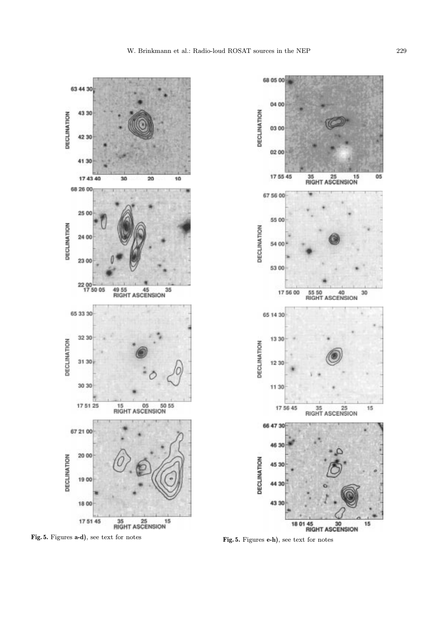68 05 00

04 00

03 00

02 00

17 55 45

67 56 00

55 00

54 00

53 00

65 14 30

13 30

12 30

DECLINATION

17 56 00

DECLINATION

35 25 15<br>RIGHT ASCENSION

55 50 40<br>RIGHT ASCENSION

30

05

DECLINATION





Fig. 5. Figures a-d), see text for notes Fig. 5. Figures e-h), see text for notes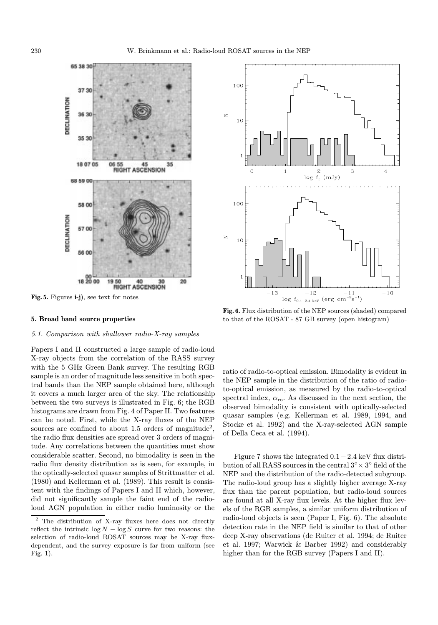

Fig. 5. Figures i-j), see text for notes

#### 5. Broad band source properties

#### 5.1. Comparison with shallower radio-X-ray samples

Papers I and II constructed a large sample of radio-loud X-ray objects from the correlation of the RASS survey with the 5 GHz Green Bank survey. The resulting RGB sample is an order of magnitude less sensitive in both spectral bands than the NEP sample obtained here, although it covers a much larger area of the sky. The relationship between the two surveys is illustrated in Fig. 6; the RGB histograms are drawn from Fig. 4 of Paper II. Two features can be noted. First, while the X-ray fluxes of the NEP sources are confined to about 1.5 orders of magnitude<sup>2</sup>, the radio flux densities are spread over 3 orders of magnitude. Any correlations between the quantities must show considerable scatter. Second, no bimodality is seen in the radio flux density distribution as is seen, for example, in the optically-selected quasar samples of Strittmatter et al. (1980) and Kellerman et al. (1989). This result is consistent with the findings of Papers I and II which, however, did not significantly sample the faint end of the radioloud AGN population in either radio luminosity or the



Fig. 6. Flux distribution of the NEP sources (shaded) compared to that of the ROSAT - 87 GB survey (open histogram)

ratio of radio-to-optical emission. Bimodality is evident in the NEP sample in the distribution of the ratio of radioto-optical emission, as measured by the radio-to-optical spectral index,  $\alpha_{\rm ro}$ . As discussed in the next section, the observed bimodality is consistent with optically-selected quasar samples (e.g. Kellerman et al. 1989, 1994, and Stocke et al. 1992) and the X-ray-selected AGN sample of Della Ceca et al. (1994).

Figure 7 shows the integrated 0.1−2.4 keV flux distribution of all RASS sources in the central  $3° \times 3°$  field of the NEP and the distribution of the radio-detected subgroup. The radio-loud group has a slightly higher average X-ray flux than the parent population, but radio-loud sources are found at all X-ray flux levels. At the higher flux levels of the RGB samples, a similar uniform distribution of radio-loud objects is seen (Paper I, Fig. 6). The absolute detection rate in the NEP field is similar to that of other deep X-ray observations (de Ruiter et al. 1994; de Ruiter et al. 1997; Warwick & Barber 1992) and considerably higher than for the RGB survey (Papers I and II).

The distribution of X-ray fluxes here does not directly reflect the intrinsic  $\log N - \log S$  curve for two reasons: the selection of radio-loud ROSAT sources may be X-ray fluxdependent, and the survey exposure is far from uniform (see Fig. 1).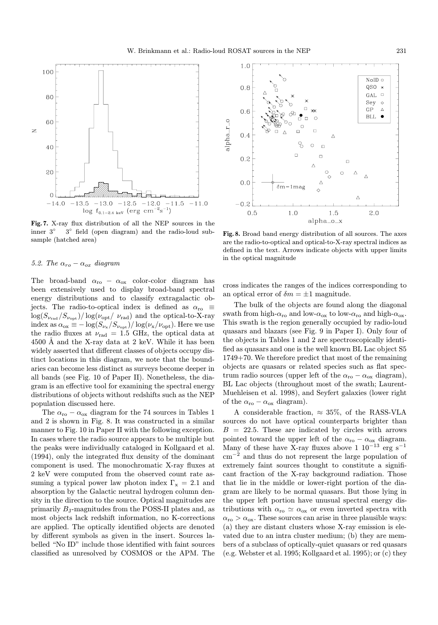

Fig. 7. X-ray flux distribution of all the NEP sources in the inner 3◦ 3◦ field (open diagram) and the radio-loud subsample (hatched area)

# 5.2. The  $\alpha_{ro} - \alpha_{ox}$  diagram

The broad-band  $\alpha_{\rm ro} - \alpha_{\rm ox}$  color-color diagram has been extensively used to display broad-band spectral energy distributions and to classify extragalactic objects. The radio-to-optical index is defined as  $\alpha_{\rm ro} \equiv$  $\log(S_{\nu_{\rm rad}}/S_{\nu_{\rm opt}})/\log(\nu_{\rm opt}/\nu_{\rm rad})$  and the optical-to-X-ray index as  $\alpha_{ox} \equiv -\log(S_{\nu_x}/S_{\nu_{\rm opt}})/\log(\nu_x/\nu_{\rm opt})$ . Here we use the radio fluxes at  $\nu_{rad} = 1.5$  GHz, the optical data at 4500 Å and the X-ray data at 2 keV. While it has been widely asserted that different classes of objects occupy distinct locations in this diagram, we note that the boundaries can become less distinct as surveys become deeper in all bands (see Fig. 10 of Paper II). Nonetheless, the diagram is an effective tool for examining the spectral energy distributions of objects without redshifts such as the NEP population discussed here.

The  $\alpha_{\rm ro} - \alpha_{\rm ox}$  diagram for the 74 sources in Tables 1 and 2 is shown in Fig. 8. It was constructed in a similar manner to Fig. 10 in Paper II with the following exception. In cases where the radio source appears to be multiple but the peaks were individually cataloged in Kollgaard et al. (1994), only the integrated flux density of the dominant component is used. The monochromatic X-ray fluxes at 2 keV were computed from the observed count rate assuming a typical power law photon index  $\Gamma_{\rm x} = 2.1$  and absorption by the Galactic neutral hydrogen column density in the direction to the source. Optical magnitudes are primarily BJ-magnitudes from the POSS-II plates and, as most objects lack redshift information, no K-corrections are applied. The optically identified objects are denoted by different symbols as given in the insert. Sources labelled "No ID" include those identified with faint sources classified as unresolved by COSMOS or the APM. The



Fig. 8. Broad band energy distribution of all sources. The axes are the radio-to-optical and optical-to-X-ray spectral indices as defined in the text. Arrows indicate objects with upper limits in the optical magnitude

cross indicates the ranges of the indices corresponding to an optical error of  $\delta m = \pm 1$  magnitude.

The bulk of the objects are found along the diagonal swath from high- $\alpha_{\rm ro}$  and low- $\alpha_{\rm ox}$  to low- $\alpha_{\rm ro}$  and high- $\alpha_{\rm ox}$ . This swath is the region generally occupied by radio-loud quasars and blazars (see Fig. 9 in Paper I). Only four of the objects in Tables 1 and 2 are spectroscopically identified as quasars and one is the well known BL Lac object S5 1749+70. We therefore predict that most of the remaining objects are quasars or related species such as flat spectrum radio sources (upper left of the  $\alpha_{\rm ro} - \alpha_{\rm ox}$  diagram), BL Lac objects (throughout most of the swath; Laurent-Muehleisen et al. 1998), and Seyfert galaxies (lower right of the  $\alpha_{\rm ro} - \alpha_{\rm ox}$  diagram).

A considerable fraction,  $\approx 35\%$ , of the RASS-VLA sources do not have optical counterparts brighter than  $B = 22.5$ . These are indicated by circles with arrows pointed toward the upper left of the  $\alpha_{\rm ro} - \alpha_{\rm ox}$  diagram. Many of these have X-ray fluxes above 1 $10^{-13}\ \rm erg\ s^{-1}$ cm<sup>−</sup><sup>2</sup> and thus do not represent the large population of extremely faint sources thought to constitute a significant fraction of the X-ray background radiation. Those that lie in the middle or lower-right portion of the diagram are likely to be normal quasars. But those lying in the upper left portion have unusual spectral energy distributions with  $\alpha_{\rm ro} \simeq \alpha_{\rm ox}$  or even inverted spectra with  $\alpha_{\rm ro} > \alpha_{\rm ox}$ . These sources can arise in three plausible ways: (a) they are distant clusters whose X-ray emission is elevated due to an intra cluster medium; (b) they are members of a subclass of optically-quiet quasars or red quasars (e.g. Webster et al. 1995; Kollgaard et al. 1995); or (c) they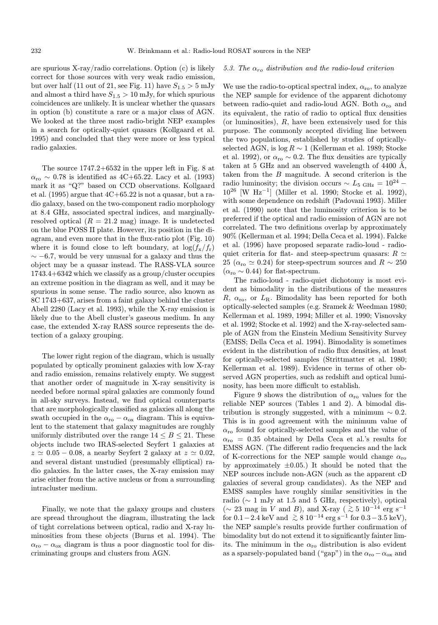#### 5.3. The  $\alpha_{ro}$  distribution and the radio-loud criterion

are spurious X-ray/radio correlations. Option (c) is likely correct for those sources with very weak radio emission, but over half (11 out of 21, see Fig. 11) have  $S_{1.5} > 5$  mJy and almost a third have  $S_{1.5} > 10$  mJy, for which spurious coincidences are unlikely. It is unclear whether the quasars in option (b) constitute a rare or a major class of AGN. We looked at the three most radio-bright NEP examples in a search for optically-quiet quasars (Kollgaard et al. 1995) and concluded that they were more or less typical radio galaxies.

The source 1747.2+6532 in the upper left in Fig. 8 at  $\alpha_{\rm ro} \sim 0.78$  is identified as 4C+65.22. Lacy et al. (1993) mark it as "Q?" based on CCD observations. Kollgaard et al.  $(1995)$  argue that  $4C+65.22$  is not a quasar, but a radio galaxy, based on the two-component radio morphology at 8.4 GHz, associated spectral indices, and marginallyresolved optical  $(R = 21.2 \text{ mag})$  image. It is undetected on the blue POSS II plate. However, its position in the diagram, and even more that in the flux-ratio plot (Fig. 10) where it is found close to left boundary, at  $\log(f_{\rm x}/f_{\rm r})$  $\sim$  −6.7, would be very unusual for a galaxy and thus the object may be a quasar instead. The RASS-VLA source 1743.4+6342 which we classify as a group/cluster occupies an extreme position in the diagram as well, and it may be spurious in some sense. The radio source, also known as 8C 1743+637, arises from a faint galaxy behind the cluster Abell 2280 (Lacy et al. 1993), while the X-ray emission is likely due to the Abell cluster's gaseous medium. In any case, the extended X-ray RASS source represents the detection of a galaxy grouping.

The lower right region of the diagram, which is usually populated by optically prominent galaxies with low X-ray and radio emission, remains relatively empty. We suggest that another order of magnitude in X-ray sensitivity is needed before normal spiral galaxies are commonly found in all-sky surveys. Instead, we find optical counterparts that are morphologically classified as galaxies all along the swath occupied in the  $\alpha_{\rm ro} - \alpha_{\rm ox}$  diagram. This is equivalent to the statement that galaxy magnitudes are roughly uniformly distributed over the range  $14 \leq B \leq 21$ . These objects include two IRAS-selected Seyfert 1 galaxies at  $z \approx 0.05 - 0.08$ , a nearby Seyfert 2 galaxy at  $z \approx 0.02$ , and several distant unstudied (presumably elliptical) radio galaxies. In the latter cases, the X-ray emission may arise either from the active nucleus or from a surrounding intracluster medium.

Finally, we note that the galaxy groups and clusters are spread throughout the diagram, illustrating the lack of tight correlations between optical, radio and X-ray luminosities from these objects (Burns et al. 1994). The  $\alpha_{\rm ro} - \alpha_{\rm ox}$  diagram is thus a poor diagnostic tool for discriminating groups and clusters from AGN.

We use the radio-to-optical spectral index,  $\alpha_{\rm ro}$ , to analyze the NEP sample for evidence of the apparent dichotomy between radio-quiet and radio-loud AGN. Both  $\alpha_{\rm ro}$  and its equivalent, the ratio of radio to optical flux densities (or luminosities), R, have been extensively used for this purpose. The commonly accepted dividing line between the two populations, established by studies of opticallyselected AGN, is  $\log R \sim 1$  (Kellerman et al. 1989; Stocke et al. 1992), or  $\alpha_{\rm ro} \sim 0.2$ . The flux densities are typically taken at 5 GHz and an observed wavelength of 4400  $\AA$ , taken from the B magnitude. A second criterion is the radio luminosity; the division occurs  $\sim L_{5 \text{ GHz}} = 10^{24}$  – 10<sup>26</sup> [W Hz<sup>−</sup><sup>1</sup>] (Miller et al. 1990; Stocke et al. 1992), with some dependence on redshift (Padovani 1993). Miller et al. (1990) note that the luminosity criterion is to be preferred if the optical and radio emission of AGN are not correlated. The two definitions overlap by approximately 90% (Kellerman et al. 1994; Della Ceca et al. 1994). Falcke et al. (1996) have proposed separate radio-loud - radioquiet criteria for flat- and steep-spectrum quasars:  $R \simeq$ 25 ( $\alpha_{\rm ro} \simeq 0.24$ ) for steep-spectrum sources and  $R \sim 250$  $(\alpha_{\rm ro} \sim 0.44)$  for flat-spectrum.

The radio-loud - radio-quiet dichotomy is most evident as bimodality in the distributions of the measures  $R, \alpha_{\rm ro}, \text{ or } L_{\rm R}$ . Bimodality has been reported for both optically-selected samples (e.g. Sramek & Weedman 1980; Kellerman et al. 1989, 1994; Miller et al. 1990; Visnovsky et al. 1992; Stocke et al. 1992) and the X-ray-selected sample of AGN from the Einstein Medium Sensitivity Survey (EMSS; Della Ceca et al. 1994). Bimodality is sometimes evident in the distribution of radio flux densities, at least for optically-selected samples (Strittmatter et al. 1980; Kellerman et al. 1989). Evidence in terms of other observed AGN properties, such as redshift and optical luminosity, has been more difficult to establish.

Figure 9 shows the distribution of  $\alpha_{\rm ro}$  values for the reliable NEP sources (Tables 1 and 2). A bimodal distribution is strongly suggested, with a minimum  $\sim 0.2$ . This is in good agreement with the minimum value of  $\alpha_{\rm ro}$  found for optically-selected samples and the value of  $\alpha_{\rm ro}$  = 0.35 obtained by Della Ceca et al.'s results for EMSS AGN. (The different radio frequencies and the lack of K-corrections for the NEP sample would change  $\alpha_{\rm ro}$ by approximately  $\pm 0.05$ .) It should be noted that the NEP sources include non-AGN (such as the apparent cD galaxies of several group candidates). As the NEP and EMSS samples have roughly similar sensitivities in the radio ( $\sim$  1 mJy at 1.5 and 5 GHz, respectively), optical (∼ 23 mag in V and B), and X-ray ( $\stackrel{>}{\sim}$  5 10<sup>-14</sup> erg s<sup>-1</sup> for  $0.1-2.4$  keV and  $\geq 8.10^{-14}$  erg s<sup>-1</sup> for  $0.3-3.5$  keV), the NEP sample's results provide further confirmation of bimodality but do not extend it to significantly fainter limits. The minimum in the  $\alpha_{\rm ro}$  distribution is also evident as a sparsely-populated band ("gap") in the  $\alpha_{\rm ro} - \alpha_{\rm ox}$  and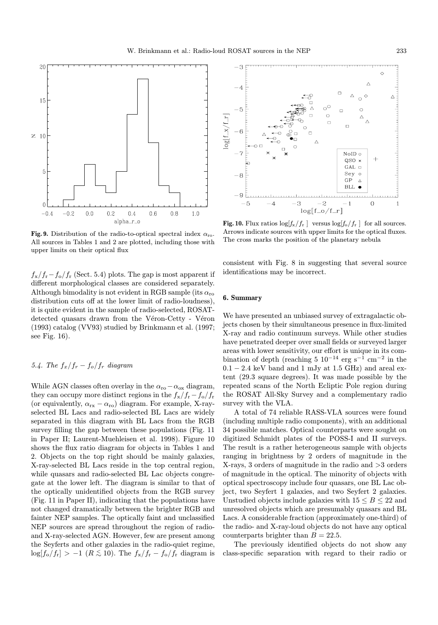

Fig. 9. Distribution of the radio-to-optical spectral index  $\alpha_{\rm ro}$ . All sources in Tables 1 and 2 are plotted, including those with upper limits on their optical flux

 $f_{\rm x}/f_{\rm r}-f_{\rm o}/f_{\rm r}$  (Sect. 5.4) plots. The gap is most apparent if different morphological classes are considered separately. Although bimodality is not evident in RGB sample (its  $\alpha_{\rm ro}$ ) distribution cuts off at the lower limit of radio-loudness), it is quite evident in the sample of radio-selected, ROSATdetected quasars drawn from the Véron-Cetty - Véron (1993) catalog (VV93) studied by Brinkmann et al. (1997; see Fig. 16).

# 5.4. The  $f_x/f_r - f_o/f_r$  diagram

While AGN classes often overlay in the  $\alpha_{\rm ro} - \alpha_{\rm ox}$  diagram, they can occupy more distinct regions in the  $f_{\rm x}/f_{\rm r} - f_{\rm o}/f_{\rm r}$ (or equivalently,  $\alpha_{rx} - \alpha_{ro}$ ) diagram. For example, X-rayselected BL Lacs and radio-selected BL Lacs are widely separated in this diagram with BL Lacs from the RGB survey filling the gap between these populations (Fig. 11 in Paper II; Laurent-Muehleisen et al. 1998). Figure 10 shows the flux ratio diagram for objects in Tables 1 and 2. Objects on the top right should be mainly galaxies, X-ray-selected BL Lacs reside in the top central region, while quasars and radio-selected BL Lac objects congregate at the lower left. The diagram is similar to that of the optically unidentified objects from the RGB survey (Fig. 11 in Paper II), indicating that the populations have not changed dramatically between the brighter RGB and fainter NEP samples. The optically faint and unclassified NEP sources are spread throughout the region of radioand X-ray-selected AGN. However, few are present among the Seyferts and other galaxies in the radio-quiet regime,  $\log[f_{\rm o}/f_{\rm r}] > -1$  ( $R \lesssim 10$ ). The  $f_{\rm x}/f_{\rm r} - f_{\rm o}/f_{\rm r}$  diagram is



**Fig. 10.** Flux ratios  $\log[f_{\rm x}/f_{\rm r}]$  versus  $\log[f_{\rm o}/f_{\rm r}]$  for all sources. Arrows indicate sources with upper limits for the optical fluxes. The cross marks the position of the planetary nebula

consistent with Fig. 8 in suggesting that several source identifications may be incorrect.

## 6. Summary

We have presented an unbiased survey of extragalactic objects chosen by their simultaneous presence in flux-limited X-ray and radio continuum surveys. While other studies have penetrated deeper over small fields or surveyed larger areas with lower sensitivity, our effort is unique in its combination of depth (reaching 5  $10^{-14}$  erg s<sup>-1</sup> cm<sup>-2</sup> in the  $0.1 - 2.4$  keV band and 1 mJy at 1.5 GHz) and areal extent (29.3 square degrees). It was made possible by the repeated scans of the North Ecliptic Pole region during the ROSAT All-Sky Survey and a complementary radio survey with the VLA.

A total of 74 reliable RASS-VLA sources were found (including multiple radio components), with an additional 34 possible matches. Optical counterparts were sought on digitized Schmidt plates of the POSS-I and II surveys. The result is a rather heterogeneous sample with objects ranging in brightness by 2 orders of magnitude in the X-rays, 3 orders of magnitude in the radio and >3 orders of magnitude in the optical. The minority of objects with optical spectroscopy include four quasars, one BL Lac object, two Seyfert 1 galaxies, and two Seyfert 2 galaxies. Unstudied objects include galaxies with  $15 \le B \le 22$  and unresolved objects which are presumably quasars and BL Lacs. A considerable fraction (approximately one-third) of the radio- and X-ray-loud objects do not have any optical counterparts brighter than  $B = 22.5$ .

The previously identified objects do not show any class-specific separation with regard to their radio or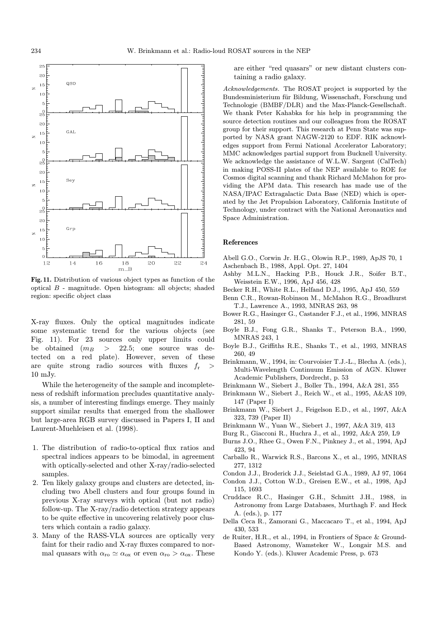

Fig. 11. Distribution of various object types as function of the optical B - magnitude. Open histogram: all objects; shaded region: specific object class

X-ray fluxes. Only the optical magnitudes indicate some systematic trend for the various objects (see Fig. 11). For 23 sources only upper limits could be obtained  $(m_B > 22.5;$  one source was de- $\geq$  22.5; one source was detected on a red plate). However, seven of these are quite strong radio sources with fluxes  $f_r$ 10 mJy.

While the heterogeneity of the sample and incompleteness of redshift information precludes quantitative analysis, a number of interesting findings emerge. They mainly support similar results that emerged from the shallower but large-area RGB survey discussed in Papers I, II and Laurent-Muehleisen et al. (1998).

- 1. The distribution of radio-to-optical flux ratios and spectral indices appears to be bimodal, in agreement with optically-selected and other X-ray/radio-selected samples.
- 2. Ten likely galaxy groups and clusters are detected, including two Abell clusters and four groups found in previous X-ray surveys with optical (but not radio) follow-up. The X-ray/radio detection strategy appears to be quite effective in uncovering relatively poor clusters which contain a radio galaxy.
- 3. Many of the RASS-VLA sources are optically very faint for their radio and X-ray fluxes compared to normal quasars with  $\alpha_{\rm ro} \simeq \alpha_{\rm ox}$  or even  $\alpha_{\rm ro} > \alpha_{\rm ox}$ . These

are either "red quasars" or new distant clusters containing a radio galaxy.

Acknowledgements. The ROSAT project is supported by the Bundesministerium für Bildung, Wissenschaft, Forschung und Technologie (BMBF/DLR) and the Max-Planck-Gesellschaft. We thank Peter Kahabka for his help in programming the source detection routines and our colleagues from the ROSAT group for their support. This research at Penn State was supported by NASA grant NAGW-2120 to EDF. RIK acknowledges support from Fermi National Accelerator Laboratory; MMC acknowledges partial support from Bucknell University. We acknowledge the assistance of W.L.W. Sargent (CalTech) in making POSS-II plates of the NEP available to ROE for Cosmos digital scanning and thank Richard McMahon for providing the APM data. This research has made use of the NASA/IPAC Extragalactic Data Base (NED) which is operated by the Jet Propulsion Laboratory, California Institute of Technology, under contract with the National Aeronautics and Space Administration.

#### References

- Abell G.O., Corwin Jr. H.G., Olowin R.P., 1989, ApJS 70, 1
- Aschenbach B., 1988, Appl. Opt. 27, 1404
- Ashby M.L.N., Hacking P.B., Houck J.R., Soifer B.T., Weisstein E.W., 1996, ApJ 456, 428
- Becker R.H., White R.L., Helfand D.J., 1995, ApJ 450, 559
- Benn C.R., Rowan-Robinson M., McMahon R.G., Broadhurst T.J., Lawrence A., 1993, MNRAS 263, 98
- Bower R.G., Hasinger G., Castander F.J., et al., 1996, MNRAS 281, 59
- Boyle B.J., Fong G.R., Shanks T., Peterson B.A., 1990, MNRAS 243, 1
- Boyle B.J., Griffiths R.E., Shanks T., et al., 1993, MNRAS 260, 49
- Brinkmann, W., 1994, in: Courvoisier T.J.-L., Blecha A. (eds.), Multi-Wavelength Continuum Emission of AGN. Kluwer Academic Publishers, Dordrecht, p. 53
- Brinkmann W., Siebert J., Boller Th., 1994, A&A 281, 355
- Brinkmann W., Siebert J., Reich W., et al., 1995, A&AS 109, 147 (Paper I)
- Brinkmann W., Siebert J., Feigelson E.D., et al., 1997, A&A 323, 739 (Paper II)
- Brinkmann W., Yuan W., Siebert J., 1997, A&A 319, 413
- Burg R., Giacconi R., Huchra J., et al., 1992, A&A 259, L9
- Burns J.O., Rhee G., Owen F.N., Pinkney J., et al., 1994, ApJ 423, 94
- Carballo R., Warwick R.S., Barcons X., et al., 1995, MNRAS 277, 1312
- Condon J.J., Broderick J.J., Seielstad G.A., 1989, AJ 97, 1064
- Condon J.J., Cotton W.D., Greisen E.W., et al., 1998, ApJ
- 115, 1693 Cruddace R.C., Hasinger G.H., Schmitt J.H., 1988, in Astronomy from Large Databases, Murthagh F. and Heck A. (eds.), p. 177
- Della Ceca R., Zamorani G., Maccacaro T., et al., 1994, ApJ 430, 533
- de Ruiter, H.R., et al., 1994, in Frontiers of Space & Ground-Based Astronomy, Wamsteker W., Longair M.S. and Kondo Y. (eds.). Kluwer Academic Press, p. 673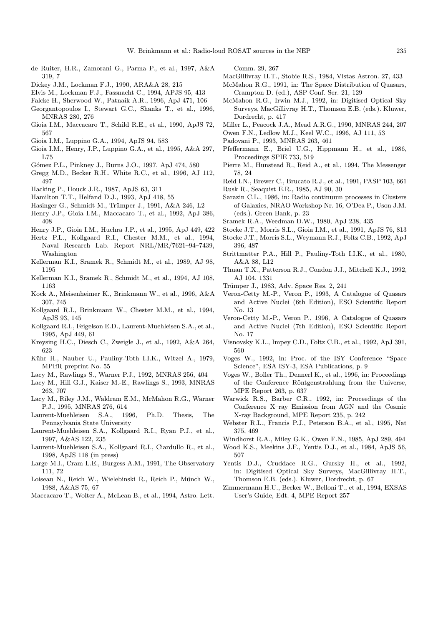- de Ruiter, H.R., Zamorani G., Parma P., et al., 1997, A&A 319, 7
- Dickey J.M., Lockman F.J., 1990, ARA&A 28, 215
- Elvis M., Lockman F.J., Fassnacht C., 1994, APJS 95, 413
- Falcke H., Sherwood W., Patnaik A.R., 1996, ApJ 471, 106 Georgantopoulos I., Stewart G.C., Shanks T., et al., 1996,
- MNRAS 280, 276
- Gioia I.M., Maccacaro T., Schild R.E., et al., 1990, ApJS 72, 567
- Gioia I.M., Luppino G.A., 1994, ApJS 94, 583
- Gioia I.M., Henry, J.P., Luppino G.A., et al., 1995, A&A 297, L75
- Gómez P.L., Pinkney J., Burns J.O., 1997, ApJ 474, 580
- Gregg M.D., Becker R.H., White R.C., et al., 1996, AJ 112, 497
- Hacking P., Houck J.R., 1987, ApJS 63, 311
- Hamilton T.T., Helfand D.J., 1993, ApJ 418, 55
- Hasinger G., Schmidt M., Trümper J., 1991, A&A 246, L2
- Henry J.P., Gioia I.M., Maccacaro T., et al., 1992, ApJ 386, 408
- Henry J.P., Gioia I.M., Huchra J.P., et al., 1995, ApJ 449, 422
- Hertz P.L., Kollgaard R.I., Chester M.M., et al., 1994, Naval Research Lab. Report NRL/MR/7621–94–7439, Washington
- Kellerman K.I., Sramek R., Schmidt M., et al., 1989, AJ 98, 1195
- Kellerman K.I., Sramek R., Schmidt M., et al., 1994, AJ 108, 1163
- Kock A., Meisenheimer K., Brinkmann W., et al., 1996, A&A 307, 745
- Kollgaard R.I., Brinkmann W., Chester M.M., et al., 1994, ApJS 93, 145
- Kollgaard R.I., Feigelson E.D., Laurent-Muehleisen S.A., et al., 1995, ApJ 449, 61
- Kreysing H.C., Diesch C., Zweigle J., et al., 1992, A&A 264, 623
- Kühr H., Nauber U., Pauliny-Toth I.I.K., Witzel A., 1979, MPIfR preprint No. 55
- Lacy M., Rawlings S., Warner P.J., 1992, MNRAS 256, 404
- Lacy M., Hill G.J., Kaiser M.-E., Rawlings S., 1993, MNRAS 263, 707
- Lacy M., Riley J.M., Waldram E.M., McMahon R.G., Warner P.J., 1995, MNRAS 276, 614
- Laurent-Muehleisen S.A., 1996, Ph.D. Thesis, The Pennsylvania State University
- Laurent-Muehleisen S.A., Kollgaard R.I., Ryan P.J., et al., 1997, A&AS 122, 235
- Laurent-Muehleisen S.A., Kollgaard R.I., Ciardullo R., et al., 1998, ApJS 118 (in press)
- Large M.I., Cram L.E., Burgess A.M., 1991, The Observatory 111, 72
- Loiseau N., Reich W., Wielebinski R., Reich P., Münch W., 1988, A&AS 75, 67
- Maccacaro T., Wolter A., McLean B., et al., 1994, Astro. Lett.

Comm. 29, 267

- MacGillivray H.T., Stobie R.S., 1984, Vistas Astron. 27, 433 McMahon R.G., 1991, in: The Space Distribution of Quasars,
- Crampton D. (ed.), ASP Conf. Ser. 21, 129
- McMahon R.G., Irwin M.J., 1992, in: Digitised Optical Sky Surveys, MacGillivray H.T., Thomson E.B. (eds.). Kluwer, Dordrecht, p. 417
- Miller L., Peacock J.A., Mead A.R.G., 1990, MNRAS 244, 207
- Owen F.N., Ledlow M.J., Keel W.C., 1996, AJ 111, 53
- Padovani P., 1993, MNRAS 263, 461
- Pfeffermann E., Briel U.G., Hippmann H., et al., 1986, Proceedings SPIE 733, 519
- Pierre M., Hunstead R., Reid A., et al., 1994, The Messenger 78, 24
- Reid I.N., Brewer C., Brucato R.J., et al., 1991, PASP 103, 661
- Rusk R., Seaquist E.R., 1985, AJ 90, 30
- Sarazin C.L., 1986, in: Radio continuum processes in Clusters of Galaxies, NRAO Workshop Nr. 16, O'Dea P., Uson J.M. (eds.). Green Bank, p. 23
- Sramek R.A., Weedman D.W., 1980, ApJ 238, 435
- Stocke J.T., Morris S.L., Gioia I.M., et al., 1991, ApJS 76, 813 Stocke J.T., Morris S.L., Weymann R.J., Foltz C.B., 1992, ApJ 396, 487
- Strittmatter P.A., Hill P., Pauliny-Toth I.I.K., et al., 1980, A&A 88, L12
- Thuan T.X., Patterson R.J., Condon J.J., Mitchell K.J., 1992, AJ 104, 1331
- Trümper J., 1983, Adv. Space Res. 2, 241
- Veron-Cetty M.-P., Veron P., 1993, A Catalogue of Quasars and Active Nuclei (6th Edition), ESO Scientific Report No. 13
- Veron-Cetty M.-P., Veron P., 1996, A Catalogue of Quasars and Active Nuclei (7th Edition), ESO Scientific Report No. 17
- Visnovsky K.L., Impey C.D., Foltz C.B., et al., 1992, ApJ 391, 560
- Voges W., 1992, in: Proc. of the ISY Conference "Space Science", ESA ISY-3, ESA Publications, p. 9
- Voges W., Boller Th., Dennerl K., et al., 1996, in: Proceedings of the Conference Röntgenstrahlung from the Universe, MPE Report 263, p. 637
- Warwick R.S., Barber C.R., 1992, in: Proceedings of the Conference X–ray Emission from AGN and the Cosmic X-ray Background, MPE Report 235, p. 242
- Webster R.L., Francis P.J., Peterson B.A., et al., 1995, Nat 375, 469
- Windhorst R.A., Miley G.K., Owen F.N., 1985, ApJ 289, 494
- Wood K.S., Meekins J.F., Yentis D.J., et al., 1984, ApJS 56, 507
- Yentis D.J., Cruddace R.G., Gursky H., et al., 1992, in: Digitised Optical Sky Surveys, MacGillivray H.T., Thomson E.B. (eds.). Kluwer, Dordrecht, p. 67
- Zimmermann H.U., Becker W., Belloni T., et al., 1994, EXSAS User's Guide, Edt. 4, MPE Report 257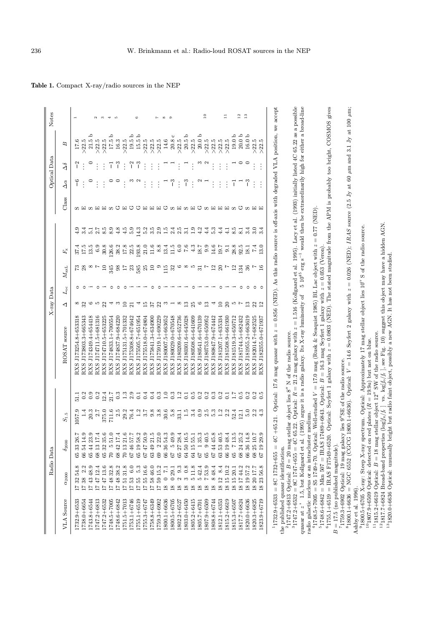|                                                                                 |                                  | Radio Data                                             |                                           |                                |                                                                                                                                                                                                                                                                                                                                                                                                                                                                                                                       |                          | $X$ -ray Data |                                 |                  |            |              |                          | Optical Data   |                                                                                            | Notes                 |
|---------------------------------------------------------------------------------|----------------------------------|--------------------------------------------------------|-------------------------------------------|--------------------------------|-----------------------------------------------------------------------------------------------------------------------------------------------------------------------------------------------------------------------------------------------------------------------------------------------------------------------------------------------------------------------------------------------------------------------------------------------------------------------------------------------------------------------|--------------------------|---------------|---------------------------------|------------------|------------|--------------|--------------------------|----------------|--------------------------------------------------------------------------------------------|-----------------------|
| VLA Source                                                                      | $\alpha_{2000}$                  | $\delta_{2000}$                                        | $S_{\rm 1.5}$                             |                                | ROSAT source                                                                                                                                                                                                                                                                                                                                                                                                                                                                                                          | ◁                        | $L_{\rm oc}$  | $M_{\rm axL}$                   | $F_{\rm x}$      |            | Class        | $\Delta \alpha$          | $\Delta\delta$ | B                                                                                          |                       |
| $1732.9 + 6533$                                                                 | 54.8<br>17                       | 65 33 26.7                                             | 1057.9                                    |                                | J173254.8+653318<br>RXS                                                                                                                                                                                                                                                                                                                                                                                                                                                                                               |                          |               |                                 |                  | 4.9        |              | $^{\circ}$               |                | 17.6                                                                                       | H                     |
| 1738.0+6654                                                                     | 2.2<br>1738                      | 66 54 14.9                                             |                                           | 0.2                            | J173803.3+665343<br>RXS                                                                                                                                                                                                                                                                                                                                                                                                                                                                                               | $\frac{8}{33}$ $\circ$   | $\circ$       |                                 | 17.5             | 3.4        | ທ ⊞ ທ        |                          |                | >22.5                                                                                      |                       |
| 1743.8+6544                                                                     | 174348.9                         | 65 44 23.9                                             | 20.3                                      | 0.9                            | J174349.4+654418<br>RXS                                                                                                                                                                                                                                                                                                                                                                                                                                                                                               |                          |               |                                 | 13.5             | 5.1        |              | $\circ$                  |                | م<br>21.51                                                                                 |                       |
| 1747.2+6813                                                                     | 12.4<br>1747                     | 68 13 17.4                                             | 2.7                                       | 0.2                            | J174711.5+681316<br>RXS                                                                                                                                                                                                                                                                                                                                                                                                                                                                                               | F.                       | $\circ$       |                                 | 6.9              | 2.7        |              |                          | $\vdots$       | >22.5                                                                                      | $\mathbf{\Omega}$     |
| 1747.2+6532                                                                     | 13.6<br>$1\,\mathrm{I}$ 47       | 65 32 35.6                                             | 375.0                                     | 12.4                           | J174710.5+653225<br>RXS                                                                                                                                                                                                                                                                                                                                                                                                                                                                                               | 22                       |               | $\Xi$                           | 30.8             | 8.5        | 田田のひ田ひひ      |                          | $\vdots$       | >22.5                                                                                      | $\boldsymbol{\infty}$ |
| 1748.5+7005                                                                     | 32.8<br>$17\;48$                 | $5\;51.0$<br>$\mathbb{R}$                              | 711.6                                     | 21.7                           | J174833.1+700554<br><b>RXS</b>                                                                                                                                                                                                                                                                                                                                                                                                                                                                                        | 4                        | $\circ$       | 345                             | 126.6            | 8.9        |              | $\circ$                  | 7              | $17.5\,\mathrm{b}$                                                                         | ₩                     |
| 748.6+6842                                                                      | 38.2<br>$48$<br>17               | 68 42 17.4                                             | $2.5\,$                                   | 0.3                            | J174837.9+684220<br>RXS                                                                                                                                                                                                                                                                                                                                                                                                                                                                                               | S                        | $\circ$       | 98                              | 38.2             | 4.8        |              |                          | $\frac{3}{1}$  | 16.3                                                                                       | S                     |
| 1751.5+7013                                                                     | 31.8<br>1751                     | 70 13 21.6                                             | 29.2                                      | $1.3\,$                        | J175131.5+701332<br>RXS                                                                                                                                                                                                                                                                                                                                                                                                                                                                                               | 10                       | $\circ$       | $\overline{17}$                 | 17.8             | 4.5        |              | $\vdots$                 | ŧ              | >22.5                                                                                      |                       |
| 1753.1+6746                                                                     | 6.0<br>53<br>$\overline{11}$     | 67 46 57.7                                             | 76.4                                      | 2.9                            | J175308.8+674642<br>RXS                                                                                                                                                                                                                                                                                                                                                                                                                                                                                               | $\overline{21}$          |               | 23                              | 22.5             | 5.9        |              |                          | $\overline{c}$ | $19.5\,\mathrm{b}$                                                                         |                       |
| 1755.1+6519                                                                     | 5.3<br>1755                      | 58.2<br>65 19                                          | 1.2                                       | $\overline{0}$ .               | J175505.7+651954<br>RXS                                                                                                                                                                                                                                                                                                                                                                                                                                                                                               | 4                        |               | 585                             | 193.8            | 14.3       |              |                          | $^{-3}$        | $\sim$<br>15.51                                                                            | G                     |
| 1755.3+6747                                                                     | 1755 16.6                        | 6.05 74 76                                             | $7, 8, 8$<br>$0, 0, 8$                    | 0.4                            | J175518.0+674804<br>RXS                                                                                                                                                                                                                                                                                                                                                                                                                                                                                               | $\overline{15}$          |               | 25                              | 21.0             | 5.2        | 国国国のSHS田のSHH |                          | $\vdots$       | $>22.5$                                                                                    |                       |
| $1758.8 + 6349$                                                                 | 175846.0                         | $21.5$<br>63 49                                        |                                           | 0.4                            | J175841.3+634900<br>RXS                                                                                                                                                                                                                                                                                                                                                                                                                                                                                               | 37                       | $\circ$       | $\Box$                          | 11.6             | 3.5        |              | $\vdots$                 | $\ddot{\cdot}$ | >22.5                                                                                      |                       |
| $1759.3 + 6902$                                                                 | 17 59 15.2                       | 222.0<br>69                                            |                                           | 0.3                            | J175919.1+690229<br>RXS                                                                                                                                                                                                                                                                                                                                                                                                                                                                                               | 22                       | $\circ$       | $\circ$                         | 8.8              | 2.9        |              | $\vdots$                 | $\vdots$       | $>22.5$                                                                                    | r-                    |
| 1800.1+6636                                                                     | $\overline{71}$<br>$\circ$<br>18 | 66 36 54.3                                             | $30.6\,$                                  | $1.0\,$                        | J180007.5+663652<br><b>BXS</b>                                                                                                                                                                                                                                                                                                                                                                                                                                                                                        | $\mathfrak{S}$           |               | 115                             | 13.4             | 1.5        |              |                          |                | 14.6                                                                                       | $\infty$              |
| 1800.5+6705                                                                     | 029.1<br>$^{18}$                 | 5.49.9<br>67                                           | 5.8                                       | $0.\overline{3}$               | J180029.0+670548<br>RXS                                                                                                                                                                                                                                                                                                                                                                                                                                                                                               | $\overline{\phantom{0}}$ |               | 32                              | 11.5             | 2.4        |              | $\frac{3}{2}$            |                | $\circ$<br>20.8                                                                            | $\sigma$              |
| 1802.2+6527                                                                     | 9.3<br>$\frac{8}{18}$            | 65 27 28.4                                             | 33.1                                      | 1.2                            | J180209.6+652736<br>RXS                                                                                                                                                                                                                                                                                                                                                                                                                                                                                               | $^{\circ}$               |               | ७                               | $6.0\,$          | 2.5        |              | $\vdots$                 |                | $>22.5$                                                                                    |                       |
| 1803.0+6450                                                                     | 0.8<br>$\frac{8}{18}$            | 64 50 16.5                                             | 1.5                                       | 0.1                            | J180301.6+645028<br>RXS                                                                                                                                                                                                                                                                                                                                                                                                                                                                                               | 13                       |               |                                 | 7.6              | 3.1        |              | $\overline{\phantom{0}}$ |                | $20.5\,\mathrm{b}$                                                                         |                       |
| 1805.2+6415                                                                     | $5\,11.8$<br>$^{18}$             | 64 15 55.1                                             |                                           | 0.5                            | J180508.6+641609<br>RXS                                                                                                                                                                                                                                                                                                                                                                                                                                                                                               | 25                       | ٥             | $\infty$ ro                     | $4.3\,$          | 1.9        |              | $\vdots$                 |                | >22.5                                                                                      |                       |
| 1805.7+6701                                                                     | $\frac{5}{7}$ 42.4<br>$^{18}$    | $1\,35.3$<br>59                                        |                                           | 0.2                            | J180541.6+670139<br><b>BXS</b>                                                                                                                                                                                                                                                                                                                                                                                                                                                                                        | $\circ$                  |               | $\overline{31}$                 | 18.7             | 4.2        |              |                          |                | م<br>20.0                                                                                  |                       |
| 1807.9+6509                                                                     | 53.9<br>$^{18}$                  | $9\;40.5$<br>65                                        | 4 9 19 19 19<br>3 19 19 11                | 0.2                            | J180753.0+650952<br>RXS                                                                                                                                                                                                                                                                                                                                                                                                                                                                                               | $\mathbf{r}$             |               |                                 | 9.9              | 4.4        |              |                          |                | $>\!22.5$                                                                                  | $\overline{10}$       |
| 1808.8+6744                                                                     | 48.4<br>$^{\circ}$<br>18         | 67 44 45.8                                             |                                           | 0.3                            | J180847.9+674442<br>RXS                                                                                                                                                                                                                                                                                                                                                                                                                                                                                               | 4                        |               | $^{12}$                         | 14.6             | 53         |              |                          |                | >22.5                                                                                      |                       |
| 1812.1+6353                                                                     | 8.4<br>1812                      | 63 53 40.5                                             |                                           | 0.2                            | J181207.1+635334<br>RXS                                                                                                                                                                                                                                                                                                                                                                                                                                                                                               | $\overline{10}$          | $\circ$       | 20                              | 19.7             | 4.4        |              | $\frac{1}{2}$            | $\vdots$       | $>\!22.5$                                                                                  |                       |
| 1815.2+6619                                                                     | 18 15 10.2                       | 66 19 48.4                                             | 2.2                                       | $\overline{0.1}$               | J181508.9+661930<br>RXS                                                                                                                                                                                                                                                                                                                                                                                                                                                                                               | 20                       |               |                                 | $\overline{0}$ . | 4.1        |              | $\vdots$                 |                | $>\!22.5$                                                                                  | $\Xi$                 |
| 1815.3+6507                                                                     | 18 15 20.1                       | $7\,13.5$<br>65                                        | 52.4                                      | 1.7                            | J181519.3+650712<br>RXS                                                                                                                                                                                                                                                                                                                                                                                                                                                                                               | P.                       |               | 12                              | 28.8             | 8.5        |              | T                        |                | $19.0\ \mathrm{b}$                                                                         |                       |
| 1817.7+6824                                                                     | 18 17 44.2                       | 68 24 25.2                                             | 12.1                                      | 0.5                            | J181744.5+682432<br>RXS                                                                                                                                                                                                                                                                                                                                                                                                                                                                                               |                          | $\circ$       | 134                             | 92.5             | 8.1        |              |                          | $\circ$        | م<br>20.0                                                                                  | $^{12}$               |
| 1820.0+6636                                                                     | 57.2<br>1819                     | 66 36 14.8                                             |                                           | 0.2                            | J181955.2+663619<br>RXS                                                                                                                                                                                                                                                                                                                                                                                                                                                                                               | $\mathbf{r}$             | $\circ$       | 36                              | 18.1             | 3.4        | 国ののことは       | ှိ                       |                | $\overline{\phantom{0}}$<br>16.0                                                           | $\frac{3}{2}$         |
| 1820.3+6825                                                                     | 18 20 17.7                       | 68 25 10.7                                             |                                           |                                | J182014.7+682525<br>RXS                                                                                                                                                                                                                                                                                                                                                                                                                                                                                               | 22                       | $\circ$       |                                 | $\overline{74}$  | 3.0        |              | $\vdots$                 |                |                                                                                            |                       |
| 1823.9+6719                                                                     | 56.8<br>23<br>$\overline{18}$    | 29.9<br>$\overline{19}$<br>67                          | $\frac{0}{5}$ $\frac{0}{2}$ $\frac{0}{4}$ | $0.\overline{5}$               | J182355.0+671937<br>RXS                                                                                                                                                                                                                                                                                                                                                                                                                                                                                               | $\Xi$                    |               | $^{16}$                         | 13.0             |            |              | $\vdots$                 | $\vdots$       | $>22.5$ $>22.5$                                                                            |                       |
| $^{1}$ 1732.9+6533 = 8C 1732+655 = 4C                                           |                                  |                                                        |                                           |                                | $\label{eq:1} \begin{array}{c} \prod_{i=1}^n \left( \frac{1}{n} \right) \left( \frac{1}{n} \right) \left( \frac{1}{n} \right) \left( \frac{1}{n} \right) \left( \frac{1}{n} \right) \left( \frac{1}{n} \right) \left( \frac{1}{n} \right) \left( \frac{1}{n} \right) \left( \frac{1}{n} \right) \left( \frac{1}{n} \right) \left( \frac{1}{n} \right) \left( \frac{1}{n} \right) \left( \frac{1}{n} \right) \left( \frac{1}{n} \right) \left( \frac{1}{n} \right) \left$<br>+65.21. Optical: 17.6 mag quasar with $z$ |                          |               |                                 |                  |            |              |                          |                | 0.856 (NED). As this radio source is off-axis with degraded VLA position, we accept        |                       |
| the published quasar identification.                                            |                                  |                                                        |                                           |                                |                                                                                                                                                                                                                                                                                                                                                                                                                                                                                                                       |                          |               |                                 |                  |            |              |                          |                |                                                                                            |                       |
|                                                                                 |                                  |                                                        |                                           |                                | $^{2}$ 1747.2+6813 Optical: $B = 20$ mag stellar object lies 8" N of the radio source.                                                                                                                                                                                                                                                                                                                                                                                                                                |                          |               |                                 |                  |            |              |                          |                |                                                                                            |                       |
|                                                                                 |                                  | $31747.2 + 6532 = 8C1747 + 655 = 4\overline{C} 65.22.$ |                                           |                                | Optical: $R = 21.2$ mag galaxy with $z = 1.516$ (Kollgaard et al. 1995). Lacy et al. (1993) initially listed 4C 65.22 as a possible                                                                                                                                                                                                                                                                                                                                                                                   |                          |               |                                 |                  |            |              |                          |                |                                                                                            |                       |
| radio galactic nucleus or an intracluster<br>quasar at $z$                      |                                  |                                                        | medium                                    |                                | 1.5, but Kollgaard et al. (1995) argue it is a radio galaxy. Its X-ray luminosity of                                                                                                                                                                                                                                                                                                                                                                                                                                  |                          |               |                                 |                  |            |              |                          |                | $5\ 10^{45}\ {\rm erg\ s}^{-1}$ would then be extraordinarily high for either a broad-line |                       |
|                                                                                 |                                  |                                                        |                                           |                                | $^{4}1748.5+7005 =$ S5 1749+70. Optical: Well-studied $V = 17.0$ mag (Rusk & Seaquist 1985) BL Lac object with $z$                                                                                                                                                                                                                                                                                                                                                                                                    |                          |               |                                 | $\parallel$      | 0.77 (NED) |              |                          |                |                                                                                            |                       |
| $^{6}$ 1755.1+6519 = IRAS F17549+6520.                                          |                                  | $51748.6 + 6842 =$ Mkn $507 =$ IRAS 17489+6843.        | Optical: Seyfert 1                        | Optical: B                     | $=16.3$ mag Seyfert $1\,$<br>galaxy with $z = 0.0803$                                                                                                                                                                                                                                                                                                                                                                                                                                                                 |                          |               | galaxy with $z = 0.053$ (Veron) |                  |            |              |                          |                | (NED). The stated magnitude from the APM is probably too bright, COSMOS gives              |                       |
| $= 17.5$ (no published magnitude).<br>$\overline{B}$                            |                                  |                                                        |                                           |                                |                                                                                                                                                                                                                                                                                                                                                                                                                                                                                                                       |                          |               |                                 |                  |            |              |                          |                |                                                                                            |                       |
| $71759.3\!+\!6902$ Optical: 19 mag galaxy<br>$^{8}1800.1+6636 = NGC 6552$ (CGCG |                                  |                                                        |                                           | lies 9'SE of the radio source. |                                                                                                                                                                                                                                                                                                                                                                                                                                                                                                                       |                          |               |                                 |                  |            |              |                          |                |                                                                                            |                       |
| Ashby et al. 1996)                                                              |                                  |                                                        |                                           |                                | 800.1+6636). Optical: $V = 14.6$ Seyfert 2 galaxy with $z$                                                                                                                                                                                                                                                                                                                                                                                                                                                            |                          |               |                                 |                  |            |              |                          |                | = 0.026 (NED); IRAS source (2.5 Jy at 60 $\mu$ m and 3.1 Jy at 100 $\mu$ m;                |                       |
|                                                                                 |                                  |                                                        |                                           |                                | $91800.5+6705$ X-ray: Steep X-ray spectrum. Optical: Approximately 17 mag stellar object lies 10" S of the radio source                                                                                                                                                                                                                                                                                                                                                                                               |                          |               |                                 |                  |            |              |                          |                |                                                                                            |                       |

101807.9+6509 Optical: detected on red plates (

 $111815.2+6619$  Optical:

B

R

 $B = 18$  mag stellar object 12 $^{\prime\prime}$  SW of the radio source.

<sup>12</sup>1817.7+6824 Broad-band properties  $(\log[f_k/f_r]$  vs.  $\log[f_0/f_r]$ , see Fig. 10) suggest this object may have a hidden AGN.

131820.0+6636 Optical: unusually bright but radio faint object, possibly a new AGN. It has not been studied.

 $R = 19.9a$ ) but not on blue.

Table 1. Compact X-ray/radio sources in the NEP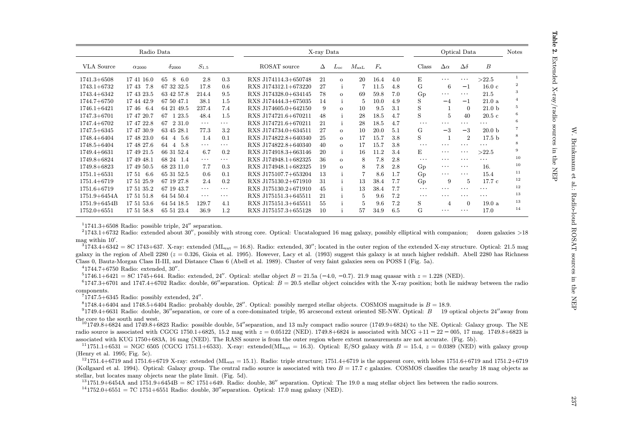Table

Ņ,

Extended X-ray/radio sources in the NEP

|                   | Radio Data      |                    |                      |          |                      | X-ray Data |              |                |             |     |          |                         | Optical Data   |                   | <b>Notes</b>   |
|-------------------|-----------------|--------------------|----------------------|----------|----------------------|------------|--------------|----------------|-------------|-----|----------|-------------------------|----------------|-------------------|----------------|
| <b>VLA</b> Source | $\alpha_{2000}$ | $\delta_{2000}$    | $S_{1.5}$            |          | ROSAT source         | Δ          | $L_{\rm oc}$ | $M_{\rm axL}$  | $F_{\rm x}$ |     | Class    | $\Delta \alpha$         | $\Delta\delta$ | $\boldsymbol{B}$  |                |
| $1741.3 + 6508$   | 17 41 16.0      | 8<br>6.0<br>65     | 2.8                  | 0.3      | RXS J174114.3+650748 | 21         | $\Omega$     | 20             | 16.4        | 4.0 | E.       | $\cdots$                | $\cdots$       | >22.5             | 1              |
| $1743.1 + 6732$   | 1743<br>7.8     | 67 32 32.5         | 17.8                 | 0.6      | RXS J174312.1+673220 | 27         |              |                | 11.5        | 4.8 | G        | 6                       | $-1$           | 16.0c             | $\overline{2}$ |
| $1743.4 + 6342$   | 17 43 23.5      | 63 42 57.8         | 214.4                | 9.5      | RXS J174328.0+634145 | 78         | $\Omega$     | 69             | 59.8        | 7.0 | $G_{D}$  | .                       | $\cdots$       | 21.5              | 3              |
| $1744.7 + 6750$   | 17 44 42.9      | 67 50 47.1         | 38.1                 | 1.5      | RXS J174444.3+675035 | 14         |              | 5              | 10.0        | 4.9 | S        | $-4$                    | $-1$           | 21.0a             | $\overline{4}$ |
| $1746.1 + 6421$   | 1746<br>- 6.4   | 64 21 49.5         | 237.4                | 7.4      | RXS J174605.0+642150 | 9          | $\Omega$     | 10             | 9.5         | 3.1 | S        |                         | $\Omega$       | 21.0 <sub>b</sub> | 5              |
| $1747.3 + 6701$   | 17 47 20.7      | 1 23.5<br>67       | 48.4                 | 1.5      | RXS J174721.6+670211 | 48         |              | 28             | 18.5        | 4.7 | S        | 5                       | 40             | 20.5c             | 6              |
| $1747.4 + 6702$   | 17 47 22.8      | 2 3 1 . 0<br>67    | $\sim$ $\sim$ $\sim$ | $\cdots$ | RXS J174721.6+670211 | 21         | $\mathbf{i}$ | 28             | 18.5        | 4.7 | $\cdots$ | $\cdots$                | $\cdots$       | $\cdots$          | 6              |
| $1747.5 + 6345$   | 17 47 30.9      | 63 45 28.1         | 77.3                 | 3.2      | RXS J174734.0+634511 | 27         | $\Omega$     | 10             | 20.0        | 5.1 | G        | $-3$                    | $-3$           | 20.0 <sub>b</sub> |                |
| $1748.4 + 6404$   | 17 48 23.0      | $4\quad 5.6$<br>64 | 1.4                  | 0.1      | RXS J174822.8+640340 | 25         | $\Omega$     | 17             | 15.7        | 3.8 | S        |                         | $\overline{2}$ | 17.5 <sub>b</sub> | 8              |
| $1748.5 + 6404$   | 17 48 27.6      | 4 5.8<br>64        | $\cdots$             | $\cdots$ | RXS J174822.8+640340 | 40         | $\Omega$     | 17             | 15.7        | 3.8 | $\cdots$ | .                       | .              | .                 | 8              |
| $1749.4 + 6631$   | 17 49 21.5      | 66 31 52.4         | 6.7                  | 0.2      | RXS J174918.3+663146 | 20         |              | 16             | 11.2        | 3.4 | E.       | $\cdots$                | $\cdots$       | >22.5             | 9              |
| 1749.8+6824       | 17 49 48.1      | 68 24 1.4          | .                    | $\cdots$ | RXS J174948.1+682325 | 36         | $\mathbf{o}$ | 8              | 7.8         | 2.8 | $\cdots$ | $\cdot$ $\cdot$ $\cdot$ | $\cdots$       | $\cdots$          | 10             |
| $1749.8 + 6823$   | 17 49 50.5      | 68 23 11.0         | 7.7                  | 0.3      | RXS J174948.1+682325 | 19         | $\Omega$     | 8              | 7.8         | 2.8 | Gp       | .                       | $\cdots$       | 16.               | 10             |
| $1751.1 + 6531$   | 17 51 6.6       | 65 31 52.5         | 0.6                  | 0.1      | RXS J175107.7+653204 | 13         |              |                | 8.6         | 1.7 | Gp       | .                       | $\cdots$       | 15.4              | 11             |
| $1751.4 + 6719$   | 17 51 25.9      | 67 19 27.8         | 2.4                  | 0.2      | RXS J175130.2+671910 | 31         |              | 13             | 38.4        | 7.7 | Gp       | 9                       | $\overline{5}$ | 17.7c             | 12             |
| $1751.6 + 6719$   | 17 51 35.2      | 67 19 43.7         | $\cdots$             | $\cdots$ | RXS J175130.2+671910 | 45         |              | 13             | 38.4        | 7.7 | $\cdots$ | $\cdots$                | $\cdots$       | $\cdots$          | 12             |
| $1751.9 + 6454A$  | 17 51 51.8      | 64 54 50.4         | $\cdots$             | $\cdots$ | RXS J175151.3+645511 | 21         |              | $\overline{5}$ | 9.6         | 7.2 | $\cdots$ | $\cdot$ $\cdot$ $\cdot$ | $\cdots$       | $\cdots$          | 13             |
| $1751.9 + 6454B$  | 17 51 53.6      | 64 54 18.5         | 129.7                | 4.1      | RXS J175151.3+645511 | 55         |              | 5              | 9.6         | 7.2 | S        | 4                       | $\Omega$       | 19.0a             | 13             |
| $1752.0 + 6551$   | 17 51 58.8      | 65 51 23.4         | 36.9                 | 1.2      | RXS J175157.3+655128 | 10         |              | 57             | 34.9        | 6.5 | G        | $\cdots$                | $\cdots$       | 17.0              | 14             |

 $11741.3+6508$  Radio: possible triple, 24" separation.

 $21743.1+6732$  Radio: extended about 30", possibly with strong core. Optical: Uncatalogued 16 mag galaxy, possibly elliptical with companion; dozen galaxies >18 mag within  $10'$ .

 $^{37}$ 743.4+6342 = 8C 1743+637. X-ray: extended (ML<sub>ext</sub> = 16.8). Radio: extended, 30"; located in the outer region of the extended X-ray structure. Optical: 21.5 mag galaxy in the region of Abell 2280 ( $z = 0.326$ , Gioia et al. 1995). However, Lacy et al. (1993) suggest this galaxy is at much higher redshift. Abell 2280 has Richness Class 0, Bautz-Morgan Class II-III, and Distance Class 6 (Abell et al. 1989). Cluster of very faint galaxies seen on POSS I (Fig. 5a).

 $41744.7+6750$  Radio: extended,  $30''$ .

 $^{5}1746.1+6421 = 8C1745+644$ . Radio: extended, 24''. Optical: stellar object  $B = 21.5$ a (-4.0, -0.7), 21.9 mag quasar with  $z = 1.228$  (NED).

 $61747.3+6701$  and 1747.4+6702 Radio: double, 66" separation. Optical:  $B = 20.5$  stellar object coincides with the X-ray position; both lie midway between the radio components.

 $71747.5+6345$  Radio: possibly extended, 24".

 $81748.4+6404$  and 1748.5+6404 Radio: probably double, 28'. Optical: possibly merged stellar objects. COSMOS magnitude is  $B = 18.9$ .

 $^{9}$ 1749.4+6631 Radio: double, 36" separation, or core of a core-dominated triple, 95 arcsecond extent oriented SE-NW. Optical: B 19 optical objects 24" away from the core to the south and west.

 $^{10}$ 1749.8+6824 and 1749.8+6823 Radio: possible double, 54" separation, and 13 mJy compact radio source (1749.9+6824) to the NE. Optical: Galaxy group. The NE radio source is associated with CGCG 1750.1+6825, 15.2 mag with  $z = 0.05122$  (NED), 1749.8+6824 is associated with MCG +11 - 22 - 005, 17 mag. 1749.8+6823 is associated with KUG 1750+683A, 16 mag (NED). The RASS source is from the outer region where extent measurements are not accurate. (Fig. 5b).

 $^{11}$ 1751.1+6531 = NGC 6505 (CGCG 1751.1+6533). X-ray: extended(ML<sub>ext</sub> = 16.3). Optical: E/SO galaxy with  $B = 15.4$ ,  $z = 0.0389$  (NED) with galaxy group (Henry et al. 1995; Fig. 5c).

 $^{12}$ 1751.4+6719 and 1751.6+6719 X-ray: extended (ML<sub>ext</sub> = 15.1). Radio: triple structure: 1751.4+6719 is the apparent core, with lobes 1751.6+6719 and 1751.2+6719 (Kollgaard et al. 1994). Optical: Galaxy group. The central radio source is associated with two  $B = 17.7$  c galaxies. COSMOS classifies the nearby 18 mag objects as stellar, but locates many objects near the plate limit. (Fig. 5d).

 $^{13}$ 1751.9+6454A and 1751.9+6454B = 8C 1751+649. Radio: double, 36" separation. Optical: The 19.0 a mag stellar object lies between the radio sources.

 $^{14}$ 1752.0+6551 = 7C 1751+6551 Radio: double, 30" separation. Optical: 17.0 mag galaxy (NED).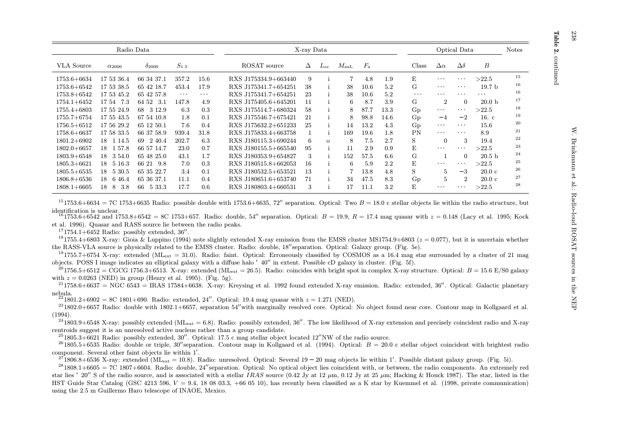| ŗ<br>ř |  |
|--------|--|
| ŗ      |  |
|        |  |

|                                                                                                                                                                                                               |                                                                                                                                                             | Radio Data                                                                                                                                                       |                                                                                            |                                                                                               |                                                                                                                                                                                                                                                                      | X-ray Data                                            |                          |                                                        |                                                                                      |                                                                                 |                                                                                                         |                                                                                                                                                                                                              | Optical Data                                                                                                               |                                                                                                                                                | <b>Notes</b>                                                   |
|---------------------------------------------------------------------------------------------------------------------------------------------------------------------------------------------------------------|-------------------------------------------------------------------------------------------------------------------------------------------------------------|------------------------------------------------------------------------------------------------------------------------------------------------------------------|--------------------------------------------------------------------------------------------|-----------------------------------------------------------------------------------------------|----------------------------------------------------------------------------------------------------------------------------------------------------------------------------------------------------------------------------------------------------------------------|-------------------------------------------------------|--------------------------|--------------------------------------------------------|--------------------------------------------------------------------------------------|---------------------------------------------------------------------------------|---------------------------------------------------------------------------------------------------------|--------------------------------------------------------------------------------------------------------------------------------------------------------------------------------------------------------------|----------------------------------------------------------------------------------------------------------------------------|------------------------------------------------------------------------------------------------------------------------------------------------|----------------------------------------------------------------|
| <b>VLA</b> Source                                                                                                                                                                                             | $\alpha_{2000}$                                                                                                                                             | $\delta_{2000}$                                                                                                                                                  | $S_{1.5}$                                                                                  |                                                                                               | ROSAT source                                                                                                                                                                                                                                                         | Δ                                                     | $L_{\rm OC}$             | $M_{\rm axL}$                                          | $F_{\rm x}$                                                                          |                                                                                 | Class                                                                                                   | $\Delta \alpha$                                                                                                                                                                                              | $\Delta\delta$                                                                                                             | B                                                                                                                                              |                                                                |
| $1753.6 + 6634$<br>$1753.6 + 6542$<br>$1753.8 + 6542$<br>$1754.1 + 6452$<br>$1755.4 + 6803$<br>$1755.7 + 6754$<br>$1756.5 + 6512$<br>$1758.6 + 6637$<br>$1801.2 + 6902$<br>$1802.0 + 6657$<br>$1803.9 + 6548$ | 17 53 36.4<br>17 53 38.5<br>17 53 45.2<br>1754<br>-7.3<br>17 55 24.9<br>17 55 43.5<br>17 56 29.2<br>17 58 33.5<br>18 1 14.5<br>18<br>1 57.8<br>18<br>3 54.0 | 66 34 37.1<br>65 42 18.7<br>65 42 57.8<br>64 52<br>-3.1<br>3 1 2 .9<br>68<br>67 54 10.8<br>65 12 50.1<br>66 37 58.9<br>2 4 0.4<br>69<br>66 57 14.7<br>65 48 25.0 | 357.2<br>453.4<br>$\cdots$<br>147.8<br>6.3<br>1.8<br>7.6<br>939.4<br>202.7<br>23.0<br>43.1 | 15.6<br>17.9<br>$\sim$ $\sim$ $\sim$<br>4.9<br>0.3<br>0.1<br>0.4<br>31.8<br>6.3<br>0.7<br>1.7 | RXS J175334.9+663440<br>RXS J175341.7+654251<br>RXS J175341.7+654251<br>RXS J175405.6+645201<br>RXS J175514.7+680324<br>RXS J175546.7+675421<br>RXS J175632.2+651233<br>RXS J175833.4+663758<br>RXS J180115.3+690244<br>RXS J180155.5+665540<br>RXS J180353.9+654827 | 9<br>38<br>23<br>11<br>58<br>21<br>25<br>6<br>95<br>3 | $\mathbf{1}$<br>$\Omega$ | 38<br>38<br>6<br>8<br>8<br>14<br>169<br>8<br>11<br>152 | 4.8<br>10.6<br>$10.6\,$<br>8.7<br>87.7<br>98.8<br>13.2<br>19.6<br>7.5<br>2.9<br>57.5 | 1.9<br>5.2<br>5.2<br>3.9<br>13.3<br>14.6<br>4.3<br>$1.8\,$<br>2.7<br>0.9<br>6.6 | E<br>G<br>$\alpha$ , $\alpha$ , $\alpha$<br>G.<br>Gp<br>$G_{D}$<br>$G_{D}$<br><b>PN</b><br>S<br>E<br>G. | $\cdots$<br>$\cdots$<br>$\cdots$<br>$\overline{2}$<br>$\mathbf{r} \rightarrow \mathbf{r}$ .<br>$-4$<br>$\mathbf{r} \rightarrow \mathbf{r}$ .<br>$\mathbf{r} \rightarrow -\mathbf{r}$<br>$\Omega$<br>$\cdots$ | .<br>$\cdots$<br>$\cdots$<br>$\Omega$<br>$\cdots$<br>$-2$<br>$\sim$ $\sim$ $\sim$<br>$\sim$ $\sim$ $\sim$<br>3<br>$\Omega$ | >22.5<br>19.7 <sub>b</sub><br>$\sim$ $\sim$ $\sim$<br>20.0 <sub>b</sub><br>>22.5<br>16. c<br>15.6<br>8.9<br>19.4<br>>22.5<br>20.5 <sub>b</sub> | 15<br>16<br>16<br>17<br>18<br>19<br>20<br>21<br>22<br>23<br>24 |
| $1805.3 + 6621$<br>$1805.5 + 6535$<br>$1806.8 + 6536$<br>$1808.1 + 6605$                                                                                                                                      | 18<br>5 16.3<br>18<br>5 30.5<br>18<br>6 4 6.4<br>3.8<br>18<br>8                                                                                             | 66 21<br>9.8<br>65 35 22.7<br>65 36 37.1<br>66<br>5 33.3                                                                                                         | 7.0<br>3.4<br>11.1<br>17.7                                                                 | 0.3<br>0.1<br>0.4<br>0.6                                                                      | RXS J180515.8+662053<br>RXS J180532.5+653521<br>RXS J180651.6+653740<br>RXS J180803.4+660531                                                                                                                                                                         | 16<br>13<br>71<br>3                                   | $\mathbf{I}$             | 6<br>34<br>17                                          | 5.9<br>13.8<br>47.5<br>11.1                                                          | 2.2<br>4.8<br>8.3<br>3.2                                                        | E<br>S<br>Gp<br>E.                                                                                      | $\cdots$<br>5<br>$\overline{5}$<br>$\cdots$                                                                                                                                                                  | $\cdots$<br>$-3$<br>$\mathcal{D}_{\mathcal{L}}$<br>.                                                                       | >22.5<br>20.0 <sub>c</sub><br>20.0 <sub>c</sub><br>>22.5                                                                                       | 25<br>26<br>27<br>28                                           |

 $^{15}$ 1753.6+6634 = 7C 1753+6635 Radio: possible double with 1753.6+6635, 72" separation. Optical: Two  $B = 18.0$  c stellar objects lie within the radio structure, but identification is unclear.

 $^{16}$ 1753.6+6542 and 1753.8+6542 = 8C 1753+657. Radio: double, 54" separation. Optical:  $B = 19.9$ ,  $R = 17.4$  mag quasar with  $z = 0.148$  (Lacy et al. 1995; Kock et al. 1996). Quasar and RASS source lie between the radio peaks.

 $171754.1+6452$  Radio: possibly extended, 36".

<sup>18</sup>1755.4+6803 X-ray: Gioia & Luppino (1994) note slightly extended X-ray emission from the EMSS cluster MS1754.9+6803 ( $z = 0.077$ ), but it is uncertain whether the RASS-VLA source is physically related to the EMSS cluster. Radio: double, 18''separation. Optical: Galaxy group. (Fig. 5e).

<sup>19</sup>1755.7+6754 X-ray: extended (ML<sub>ext</sub> = 31.0). Radio: faint. Optical: Erroneously classified by COSMOS as a 16.4 mag star surrounded by a cluster of 21 mag objects. POSS I image indicates an elliptical galaxy with a diffuse halo  $40''$  in extent. Possible cD galaxy in cluster. (Fig. 5f).

 $^{20}$ 1756.5+6512 = CGCG 1756.3+6513. X-ray: extended (ML<sub>ext</sub> = 26.5). Radio: coincides with bright spot in complex X-ray structure. Optical: B = 15.6 E/S0 galaxy with  $z = 0.0263$  (NED) in group (Henry et al. 1995). (Fig. 5g).

 $^{21}$ 1758.6+6637 = NGC 6543 = IRAS 17584+6638. X-ray: Krevsing et al. 1992 found extended X-ray emission. Radio: extended, 36". Optical: Galactic planetary nebula.

 $^{22}1801.2+6902 = 8C1801+690$ . Radio: extended. 24''. Optical: 19.4 mag quasar with  $z = 1.271$  (NED).

 $^{23}$ 1802.0+6657 Radio: double with 1802.1+6657, separation 54" with marginally resolved core. Optical: No object found near core. Contour map in Kollgaard et al.  $(1994).$ 

 $^{24}$ 1803.9+6548 X-ray: possibly extended (ML<sub>ext</sub> = 6.8). Radio: possibly extended, 36''. The low likelihood of X-ray extension and precisely coincident radio and X-ray centroids suggest it is an unresolved active nucleus rather than a group candidate.

 $^{25}$ 1805.3+6621 Radio: possibly extended, 30". Optical: 17.5 c mag stellar object located 12"NW of the radio source.

<sup>26</sup>1805.5+6535 Radio: double or triple, 30" separation. Contour map in Kollgaard et al. (1994). Optical:  $B = 20.0$  c stellar object coincident with brightest radio component. Several other faint objects lie within 1'.

<sup>27</sup>1806.8+6536 X-ray: extended (ML<sub>ext</sub> = 10.8). Radio: unresolved. Optical: Several 19 – 20 mag objects lie within 1'. Possible distant galaxy group. (Fig. 5i).

 $^{28}1808.1+6605 = 7C1807+6604$ . Radio: double, 24" separation. Optical: No optical object lies coincident with or between, the radio components. An extremely red star lies 20" S of the radio source, and is associated with a stellar IRAS source (0.42 Jy at 12  $\mu$ m, 0.12 Jy at 25  $\mu$ m; Hacking & Houck 1987). The star, listed in the HST Guide Star Catalog (GSC 4213 596,  $V = 9.4$ , 18 08 03.3, +66 05 10), has recently been classified as a K star by Kuemmel et al. (1998, private communication) using the 2.5 m Guillermo Haro telescope of INAOE, Mexico.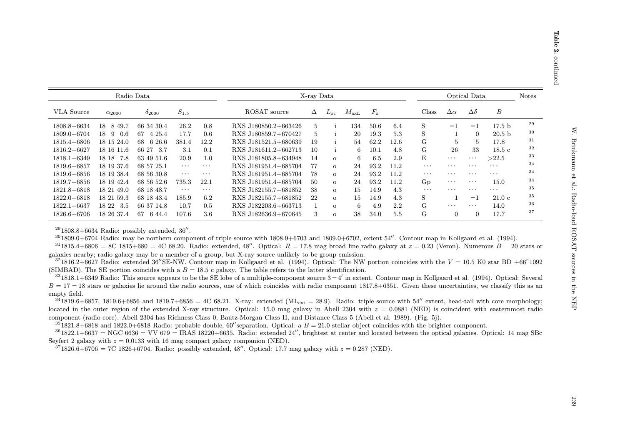| $\ddot{\phantom{a}}$                             |  |
|--------------------------------------------------|--|
|                                                  |  |
|                                                  |  |
| contracted to can be C Curri<br>١<br>Ì<br>J<br>ı |  |
|                                                  |  |
| さくらり くくく しりり                                     |  |
|                                                  |  |
|                                                  |  |
| $-1$ $-1$ $-1$                                   |  |

|                   |                 | Radio Data      |                      |                      |                      | X-ray Data |          |               |             |      |                      |                | Optical Data            |                   | <b>Notes</b> |
|-------------------|-----------------|-----------------|----------------------|----------------------|----------------------|------------|----------|---------------|-------------|------|----------------------|----------------|-------------------------|-------------------|--------------|
| <b>VLA</b> Source | $\alpha_{2000}$ | $\delta_{2000}$ | $S_{1.5}$            |                      | ROSAT source         | Δ          | $L_{0c}$ | $M_{\rm axL}$ | $F_{\rm x}$ |      | Class                | $\Delta\alpha$ | $\Delta\delta$          | $\boldsymbol{B}$  |              |
| $1808.8 + 6634$   | 8 49.7<br>18.   | 66 34 30.4      | 26.2                 | 0.8                  | RXS J180850.2+663426 | 5          |          | 134           | 50.6        | 6.4  | S                    | $-1$           | $-1$                    | 17.5 <sub>b</sub> | 29           |
| $1809.0 + 6704$   | 18 9 0.6        | 4 25.4<br>67    | 17.7                 | 0.6                  | RXS J180859.7+670427 | 5          |          | 20            | 19.3        | 5.3  | S                    |                | $\Omega$                | 20.5 <sub>b</sub> | 30           |
| $1815.4 + 6806$   | 18 15 24.0      | 6 26.6<br>68    | 381.4                | 12.2                 | RXS J181521.5+680639 | 19         |          | 54            | 62.2        | 12.6 | G                    | .5             | $5^{\circ}$             | 17.8              | 31           |
| $1816.2 + 6627$   | 18 16 11.6      | 66 27 3.7       | 3.1                  | 0.1                  | RXS J181611.2+662713 | 10         |          | 6             | 10.1        | 4.8  | G                    | 26             | 33                      | 18.5c             | 32           |
| $1818.1 + 6349$   | 18 18 7.8       | 63 49 51.6      | 20.9                 | 1.0                  | RXS J181805.8+634948 | 14         | $\Omega$ | 6             | 6.5         | 2.9  | E                    | $\cdots$       | $\cdot$ $\cdot$ $\cdot$ | >22.5             | 33           |
| $1819.6 + 6857$   | 18 19 37.6      | 68 57 25.1      | $\sim$ $\sim$ $\sim$ | $\sim$ $\sim$ $\sim$ | RXS J181951.4+685704 | 77         | $\Omega$ | 24            | 93.2        | 11.2 | $\cdots$             | .              | $\cdot$ $\cdot$ $\cdot$ | $\cdots$          | 34           |
| $1819.6 + 6856$   | 18 19 38.4      | 68 56 30.8      | $\sim$ $\sim$ $\sim$ | $\sim$ $\sim$ $\sim$ | RXS J181951.4+685704 | 78         | $\Omega$ | 24            | 93.2        | 11.2 | $\sim$ $\sim$ $\sim$ | .              | $\cdot$ $\cdot$ $\cdot$ | $\cdots$          | 34           |
| $1819.7 + 6856$   | 18 19 42.4      | 68 56 52.6      | 735.3                | 22.1                 | RXS J181951.4+685704 | 50         | $\Omega$ | 24            | 93.2        | 11.2 | $G_{D}$              | $\cdots$       | $\cdot$ $\cdot$ $\cdot$ | 15.0              | 34           |
| $1821.8+6818$     | 18 21 49.0      | 68 18 48.7      | $\sim$ $\sim$ $\sim$ | $\sim$ $\sim$ $\sim$ | RXS J182155.7+681852 | 38         | $\Omega$ | 15            | 14.9        | 4.3  | $\ldots$             |                | $\cdot$ $\cdot$ $\cdot$ | $\cdots$          | 35           |
| $1822.0 + 6818$   | 18 21 59.3      | 68 18 43.4      | 185.9                | 6.2                  | RXS J182155.7+681852 | 22         | $\Omega$ | 15            | 14.9        | 4.3  | S                    |                | $-1$                    | 21.0c             | 35           |
| $1822.1 + 6637$   | 18 22 3.5       | 66 37 14.8      | 10.7                 | 0.5                  | RXS J182203.6+663713 |            | $\Omega$ | 6             | 4.9         | 2.2  | G                    | .              | $\cdots$                | 14.0              | 36           |
| $1826.6 + 6706$   | 18 26 37.4      | 67<br>6 44.4    | 107.6                | 3.6                  | RXS J182636.9+670645 | 3          | $\Omega$ | 38            | 34.0        | 5.5  | G                    | $\Omega$       | $\Omega$                | 17.7              | 37           |

 $^{29}1808.8+6634$  Radio: possibly extended,  $36''$ .

 $301809.0+6704$  Radio: may be northern component of triple source with  $1808.9+6703$  and  $1809.0+6702$ , extent  $54''$ . Contour map in Kollgaard et al. (1994).

 $^{31}$ 1815.4+6806 = 8C 1815+680 = 4C 68.20. Radio: extended, 48''. Optical:  $R = 17.8$  mag broad line radio galaxy at  $z = 0.23$  (Veron). Numerous B 20 stars or galaxies nearby; radio galaxy may be a member of a group, but X-ray source unlikely to be group emission.

 $321816.2+6627$  Radio: extended 36"SE-NW. Contour map in Kollgaard et al. (1994). Optical: The NW portion coincides with the  $V = 10.5$  K0 star BD +66°1092 (SIMBAD). The SE portion coincides with a  $B = 18.5$  c galaxy. The table refers to the latter identification.

 $331818.1+6349$  Radio: This source appears to be the SE lobe of a multiple-component source  $3-4'$  in extent. Contour map in Kollgaard et al. (1994). Optical: Several  $B = 17 - 18$  stars or galaxies lie around the radio sources, one of which coincides with radio component 1817.8+6351. Given these uncertainties, we classify this as an empty field.

 $341819.6+6857$ , 1819.6+6856 and 1819.7+6856 = 4C 68.21. X-ray: extended (ML<sub>ext</sub> = 28.9). Radio: triple source with 54" extent, head-tail with core morphology; located in the outer region of the extended X-ray structure. Optical: 15.0 mag galaxy in Abell 2304 with  $z = 0.0881$  (NED) is coincident with easternmost radio component (radio core). Abell 2304 has Richness Class 0, Bautz-Morgan Class II, and Distance Class 5 (Abell et al. 1989). (Fig. 5j).

 $351821.8+6818$  and  $1822.0+6818$  Radio: probable double, 60" separation. Optical: a  $B = 21.0$  stellar object coincides with the brighter component.

 $^{36}1822.1+6637 = NGC\,6636 = VV\,679 = IRAS\,18220+6635.$  Radio: extended 24'', brightest at center and located between the optical galaxies. Optical: 14 mag SBc Seyfert 2 galaxy with  $z = 0.0133$  with 16 mag compact galaxy companion (NED).

 $3^{7}1826.6+6706 = 7C1826+6704$ . Radio: possibly extended, 48''. Optical: 17.7 mag galaxy with  $z = 0.287$  (NED).